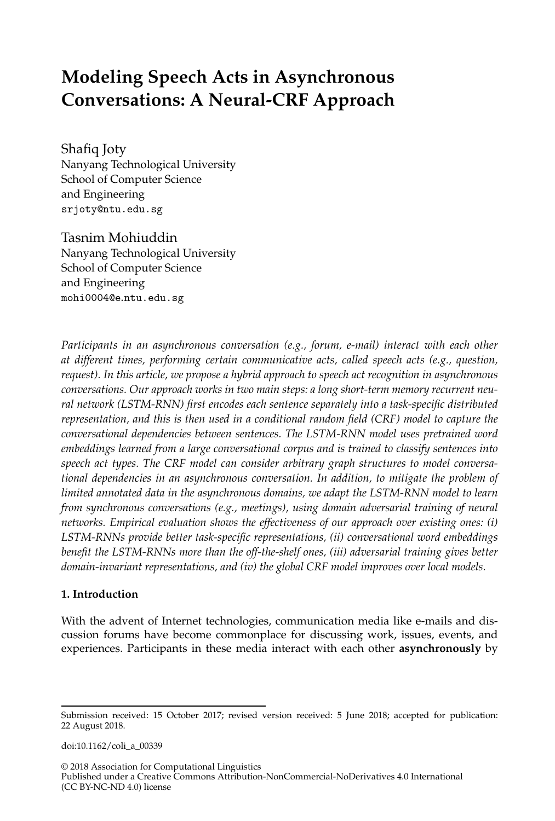# <span id="page-0-0"></span>**Modeling Speech Acts in Asynchronous Conversations: A Neural-CRF Approach**

# Shafiq Joty

Nanyang Technological University School of Computer Science and Engineering srjoty@ntu.edu.sg

# Tasnim Mohiuddin

Nanyang Technological University School of Computer Science and Engineering mohi0004@e.ntu.edu.sg

*Participants in an asynchronous conversation (e.g., forum, e-mail) interact with each other at different times, performing certain communicative acts, called speech acts (e.g., question, request). In this article, we propose a hybrid approach to speech act recognition in asynchronous conversations. Our approach works in two main steps: a long short-term memory recurrent neural network (LSTM-RNN) first encodes each sentence separately into a task-specific distributed representation, and this is then used in a conditional random field (CRF) model to capture the conversational dependencies between sentences. The LSTM-RNN model uses pretrained word embeddings learned from a large conversational corpus and is trained to classify sentences into speech act types. The CRF model can consider arbitrary graph structures to model conversational dependencies in an asynchronous conversation. In addition, to mitigate the problem of limited annotated data in the asynchronous domains, we adapt the LSTM-RNN model to learn from synchronous conversations (e.g., meetings), using domain adversarial training of neural networks. Empirical evaluation shows the effectiveness of our approach over existing ones: (i) LSTM-RNNs provide better task-specific representations, (ii) conversational word embeddings benefit the LSTM-RNNs more than the off-the-shelf ones, (iii) adversarial training gives better domain-invariant representations, and (iv) the global CRF model improves over local models.*

# **1. Introduction**

With the advent of Internet technologies, communication media like e-mails and discussion forums have become commonplace for discussing work, issues, events, and experiences. Participants in these media interact with each other **asynchronously** by

Submission received: 15 October 2017; revised version received: 5 June 2018; accepted for publication: 22 August 2018.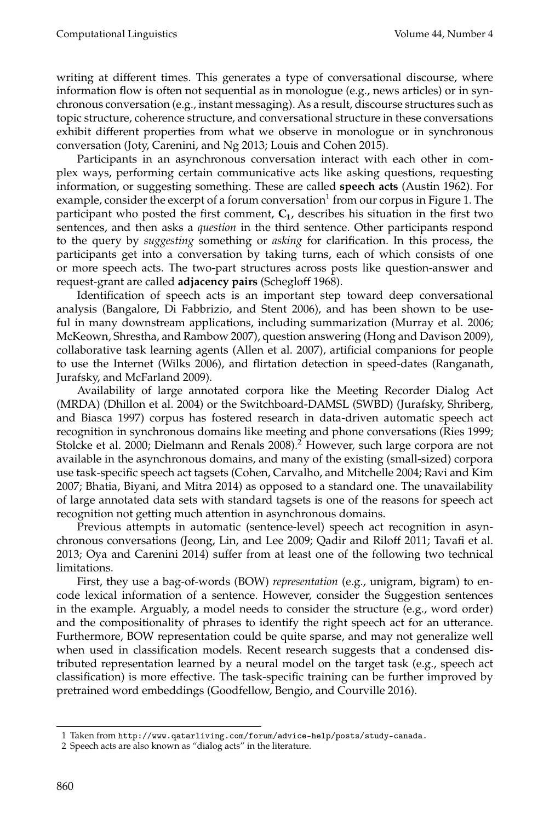writing at different times. This generates a type of conversational discourse, where information flow is often not sequential as in monologue (e.g., news articles) or in synchronous conversation (e.g., instant messaging). As a result, discourse structures such as topic structure, coherence structure, and conversational structure in these conversations exhibit different properties from what we observe in monologue or in synchronous conversation [\(Joty, Carenini, and Ng 2013; Louis and Cohen 2015\)](#page-0-0).

Participants in an asynchronous conversation interact with each other in complex ways, performing certain communicative acts like asking questions, requesting information, or suggesting something. These are called **speech acts** [\(Austin 1962\)](#page-0-0). For example, consider the excerpt of a forum conversation $^1$  $^1$  from our corpus in Figure [1.](#page-2-0) The participant who posted the first comment, **C<sup>1</sup>** , describes his situation in the first two sentences, and then asks a *question* in the third sentence. Other participants respond to the query by *suggesting* something or *asking* for clarification. In this process, the participants get into a conversation by taking turns, each of which consists of one or more speech acts. The two-part structures across posts like question-answer and request-grant are called **adjacency pairs** [\(Schegloff 1968\)](#page-0-0).

Identification of speech acts is an important step toward deep conversational analysis [\(Bangalore, Di Fabbrizio, and Stent 2006\)](#page-0-0), and has been shown to be useful in many downstream applications, including summarization [\(Murray et al. 2006;](#page-0-0) McKeown, Shrestha, and Rambow [2007\)](#page-0-0), question answering (Hong and Davison [2009\)](#page-0-0), collaborative task learning agents [\(Allen et al. 2007\)](#page-0-0), artificial companions for people to use the Internet [\(Wilks 2006\)](#page-0-0), and flirtation detection in speed-dates (Ranganath, Jurafsky, and McFarland [2009\)](#page-0-0).

Availability of large annotated corpora like the Meeting Recorder Dialog Act (MRDA) [\(Dhillon et al. 2004\)](#page-0-0) or the Switchboard-DAMSL (SWBD) (Jurafsky, Shriberg, and Biasca [1997\)](#page-0-0) corpus has fostered research in data-driven automatic speech act recognition in synchronous domains like meeting and phone conversations [\(Ries 1999;](#page-0-0) [Stolcke et al. 2000; Dielmann and Renals 2008\)](#page-0-0).[2](#page-1-1) However, such large corpora are not available in the asynchronous domains, and many of the existing (small-sized) corpora use task-specific speech act tagsets (Cohen, Carvalho, and Mitchelle [2004;](#page-0-0) Ravi and Kim [2007;](#page-0-0) Bhatia, Biyani, and Mitra [2014\)](#page-0-0) as opposed to a standard one. The unavailability of large annotated data sets with standard tagsets is one of the reasons for speech act recognition not getting much attention in asynchronous domains.

Previous attempts in automatic (sentence-level) speech act recognition in asynchronous conversations (Jeong, Lin, and Lee [2009;](#page-0-0) Qadir and Riloff [2011;](#page-0-0) Tavafi et al. [2013;](#page-0-0) Oya and Carenini [2014\)](#page-0-0) suffer from at least one of the following two technical limitations.

First, they use a bag-of-words (BOW) *representation* (e.g., unigram, bigram) to encode lexical information of a sentence. However, consider the Suggestion sentences in the example. Arguably, a model needs to consider the structure (e.g., word order) and the compositionality of phrases to identify the right speech act for an utterance. Furthermore, BOW representation could be quite sparse, and may not generalize well when used in classification models. Recent research suggests that a condensed distributed representation learned by a neural model on the target task (e.g., speech act classification) is more effective. The task-specific training can be further improved by pretrained word embeddings [\(Goodfellow, Bengio, and Courville 2016\)](#page-0-0).

<span id="page-1-0"></span><sup>1</sup> Taken from http://www.qatarliving.com/forum/advice-help/posts/study-canada.

<span id="page-1-1"></span><sup>2</sup> Speech acts are also known as "dialog acts" in the literature.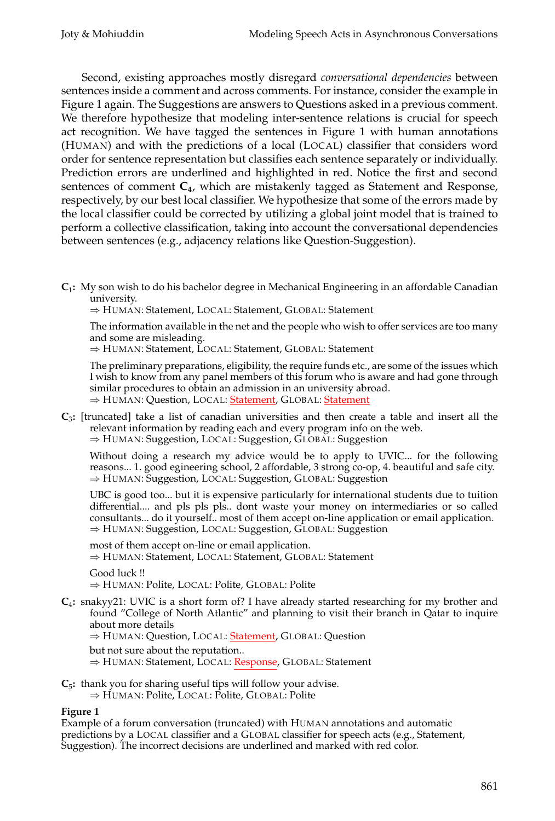Second, existing approaches mostly disregard *conversational dependencies* between sentences inside a comment and across comments. For instance, consider the example in Figure [1](#page-2-0) again. The Suggestions are answers to Questions asked in a previous comment. We therefore hypothesize that modeling inter-sentence relations is crucial for speech act recognition. We have tagged the sentences in Figure [1](#page-2-0) with human annotations (HUMAN) and with the predictions of a local (LOCAL) classifier that considers word order for sentence representation but classifies each sentence separately or individually. Prediction errors are underlined and highlighted in red. Notice the first and second sentences of comment **C<sup>4</sup>** , which are mistakenly tagged as Statement and Response, respectively, by our best local classifier. We hypothesize that some of the errors made by the local classifier could be corrected by utilizing a global joint model that is trained to perform a collective classification, taking into account the conversational dependencies between sentences (e.g., adjacency relations like Question-Suggestion).

<span id="page-2-0"></span>**C**1 **:** My son wish to do his bachelor degree in Mechanical Engineering in an affordable Canadian university.

⇒ HUMAN: Statement, LOCAL: Statement, GLOBAL: Statement

The information available in the net and the people who wish to offer services are too many and some are misleading.

⇒ HUMAN: Statement, LOCAL: Statement, GLOBAL: Statement

The preliminary preparations, eligibility, the require funds etc., are some of the issues which I wish to know from any panel members of this forum who is aware and had gone through similar procedures to obtain an admission in an university abroad. ⇒ HUMAN: Question, LOCAL: Statement, GLOBAL: Statement

**C**3 **:** [truncated] take a list of canadian universities and then create a table and insert all the relevant information by reading each and every program info on the web. ⇒ HUMAN: Suggestion, LOCAL: Suggestion, GLOBAL: Suggestion

Without doing a research my advice would be to apply to UVIC... for the following reasons... 1. good egineering school, 2 affordable, 3 strong co-op, 4. beautiful and safe city. ⇒ HUMAN: Suggestion, LOCAL: Suggestion, GLOBAL: Suggestion

UBC is good too... but it is expensive particularly for international students due to tuition differential.... and pls pls pls.. dont waste your money on intermediaries or so called consultants... do it yourself.. most of them accept on-line application or email application. ⇒ HUMAN: Suggestion, LOCAL: Suggestion, GLOBAL: Suggestion

most of them accept on-line or email application. ⇒ HUMAN: Statement, LOCAL: Statement, GLOBAL: Statement

Good luck !! ⇒ HUMAN: Polite, LOCAL: Polite, GLOBAL: Polite

**C**4 **:** snakyy21: UVIC is a short form of? I have already started researching for my brother and found "College of North Atlantic" and planning to visit their branch in Qatar to inquire about more details

⇒ HUMAN: Question, LOCAL: Statement, GLOBAL: Question

but not sure about the reputation..

⇒ HUMAN: Statement, LOCAL: Response, GLOBAL: Statement

**C**5 **:** thank you for sharing useful tips will follow your advise. ⇒ HUMAN: Polite, LOCAL: Polite, GLOBAL: Polite

### **Figure 1**

Example of a forum conversation (truncated) with HUMAN annotations and automatic predictions by a LOCAL classifier and a GLOBAL classifier for speech acts (e.g., Statement, Suggestion). The incorrect decisions are underlined and marked with red color.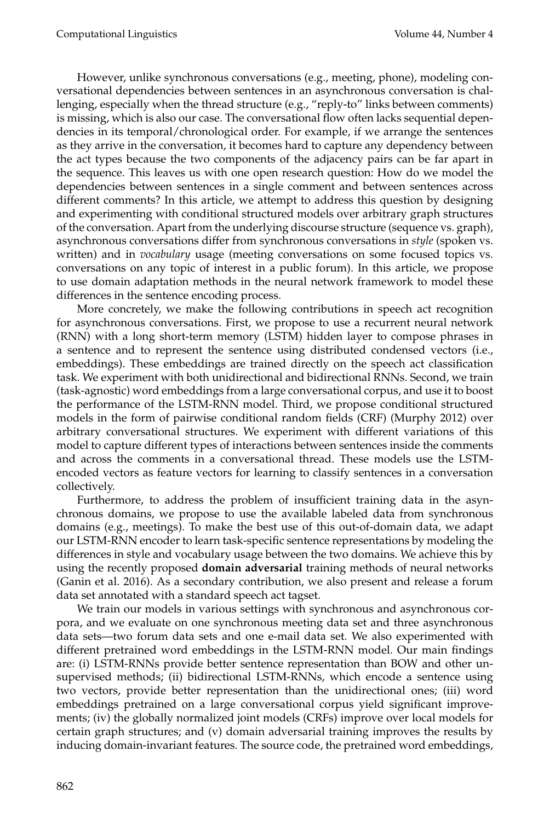However, unlike synchronous conversations (e.g., meeting, phone), modeling conversational dependencies between sentences in an asynchronous conversation is challenging, especially when the thread structure (e.g., "reply-to" links between comments) is missing, which is also our case. The conversational flow often lacks sequential dependencies in its temporal/chronological order. For example, if we arrange the sentences as they arrive in the conversation, it becomes hard to capture any dependency between the act types because the two components of the adjacency pairs can be far apart in the sequence. This leaves us with one open research question: How do we model the dependencies between sentences in a single comment and between sentences across different comments? In this article, we attempt to address this question by designing and experimenting with conditional structured models over arbitrary graph structures of the conversation. Apart from the underlying discourse structure (sequence vs. graph), asynchronous conversations differ from synchronous conversations in *style* (spoken vs. written) and in *vocabulary* usage (meeting conversations on some focused topics vs. conversations on any topic of interest in a public forum). In this article, we propose to use domain adaptation methods in the neural network framework to model these differences in the sentence encoding process.

More concretely, we make the following contributions in speech act recognition for asynchronous conversations. First, we propose to use a recurrent neural network (RNN) with a long short-term memory (LSTM) hidden layer to compose phrases in a sentence and to represent the sentence using distributed condensed vectors (i.e., embeddings). These embeddings are trained directly on the speech act classification task. We experiment with both unidirectional and bidirectional RNNs. Second, we train (task-agnostic) word embeddings from a large conversational corpus, and use it to boost the performance of the LSTM-RNN model. Third, we propose conditional structured models in the form of pairwise conditional random fields (CRF) [\(Murphy 2012\)](#page-0-0) over arbitrary conversational structures. We experiment with different variations of this model to capture different types of interactions between sentences inside the comments and across the comments in a conversational thread. These models use the LSTMencoded vectors as feature vectors for learning to classify sentences in a conversation collectively.

Furthermore, to address the problem of insufficient training data in the asynchronous domains, we propose to use the available labeled data from synchronous domains (e.g., meetings). To make the best use of this out-of-domain data, we adapt our LSTM-RNN encoder to learn task-specific sentence representations by modeling the differences in style and vocabulary usage between the two domains. We achieve this by using the recently proposed **domain adversarial** training methods of neural networks [\(Ganin et al. 2016\)](#page-0-0). As a secondary contribution, we also present and release a forum data set annotated with a standard speech act tagset.

We train our models in various settings with synchronous and asynchronous corpora, and we evaluate on one synchronous meeting data set and three asynchronous data sets—two forum data sets and one e-mail data set. We also experimented with different pretrained word embeddings in the LSTM-RNN model. Our main findings are: (i) LSTM-RNNs provide better sentence representation than BOW and other unsupervised methods; (ii) bidirectional LSTM-RNNs, which encode a sentence using two vectors, provide better representation than the unidirectional ones; (iii) word embeddings pretrained on a large conversational corpus yield significant improvements; (iv) the globally normalized joint models (CRFs) improve over local models for certain graph structures; and (v) domain adversarial training improves the results by inducing domain-invariant features. The source code, the pretrained word embeddings,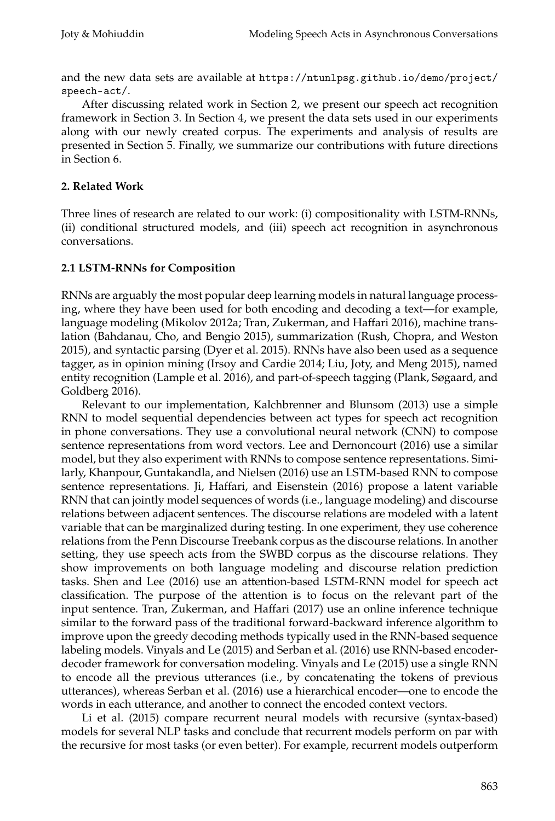and the new data sets are available at [https://ntunlpsg.github.io/demo/project/](https://ntunlpsg.github.io/demo/project/speech-act/) [speech-act/](https://ntunlpsg.github.io/demo/project/speech-act/).

After discussing related work in Section [2,](#page-4-0) we present our speech act recognition framework in Section [3.](#page-7-0) In Section [4,](#page-16-0) we present the data sets used in our experiments along with our newly created corpus. The experiments and analysis of results are presented in Section [5.](#page-20-0) Finally, we summarize our contributions with future directions in Section [6.](#page-29-0)

# <span id="page-4-0"></span>**2. Related Work**

Three lines of research are related to our work: (i) compositionality with LSTM-RNNs, (ii) conditional structured models, and (iii) speech act recognition in asynchronous conversations.

# **2.1 LSTM-RNNs for Composition**

RNNs are arguably the most popular deep learning models in natural language processing, where they have been used for both encoding and decoding a text—for example, language modeling [\(Mikolov 2012a; Tran, Zukerman, and Haffari 2016\)](#page-0-0), machine translation [\(Bahdanau, Cho, and Bengio 2015\)](#page-0-0), summarization [\(Rush, Chopra, and Weston](#page-0-0) [2015\)](#page-0-0), and syntactic parsing [\(Dyer et al. 2015\)](#page-0-0). RNNs have also been used as a sequence tagger, as in opinion mining [\(Irsoy and Cardie 2014; Liu, Joty, and Meng 2015\)](#page-0-0), named entity recognition [\(Lample et al. 2016\)](#page-0-0), and part-of-speech tagging [\(Plank, Søgaard, and](#page-0-0) [Goldberg 2016\)](#page-0-0).

Relevant to our implementation, [Kalchbrenner and Blunsom \(2013\)](#page-0-0) use a simple RNN to model sequential dependencies between act types for speech act recognition in phone conversations. They use a convolutional neural network (CNN) to compose sentence representations from word vectors. [Lee and Dernoncourt \(2016\)](#page-0-0) use a similar model, but they also experiment with RNNs to compose sentence representations. Similarly, Khanpour, Guntakandla, and Nielsen [\(2016\)](#page-0-0) use an LSTM-based RNN to compose sentence representations. [Ji, Haffari, and Eisenstein \(2016\)](#page-0-0) propose a latent variable RNN that can jointly model sequences of words (i.e., language modeling) and discourse relations between adjacent sentences. The discourse relations are modeled with a latent variable that can be marginalized during testing. In one experiment, they use coherence relations from the Penn Discourse Treebank corpus as the discourse relations. In another setting, they use speech acts from the SWBD corpus as the discourse relations. They show improvements on both language modeling and discourse relation prediction tasks. [Shen and Lee \(2016\)](#page-0-0) use an attention-based LSTM-RNN model for speech act classification. The purpose of the attention is to focus on the relevant part of the input sentence. [Tran, Zukerman, and Haffari \(2017\)](#page-0-0) use an online inference technique similar to the forward pass of the traditional forward-backward inference algorithm to improve upon the greedy decoding methods typically used in the RNN-based sequence labeling models. [Vinyals and Le \(2015\)](#page-0-0) and [Serban et al. \(2016\)](#page-0-0) use RNN-based encoderdecoder framework for conversation modeling. [Vinyals and Le \(2015\)](#page-0-0) use a single RNN to encode all the previous utterances (i.e., by concatenating the tokens of previous utterances), whereas [Serban et al. \(2016\)](#page-0-0) use a hierarchical encoder—one to encode the words in each utterance, and another to connect the encoded context vectors.

[Li et al. \(2015\)](#page-0-0) compare recurrent neural models with recursive (syntax-based) models for several NLP tasks and conclude that recurrent models perform on par with the recursive for most tasks (or even better). For example, recurrent models outperform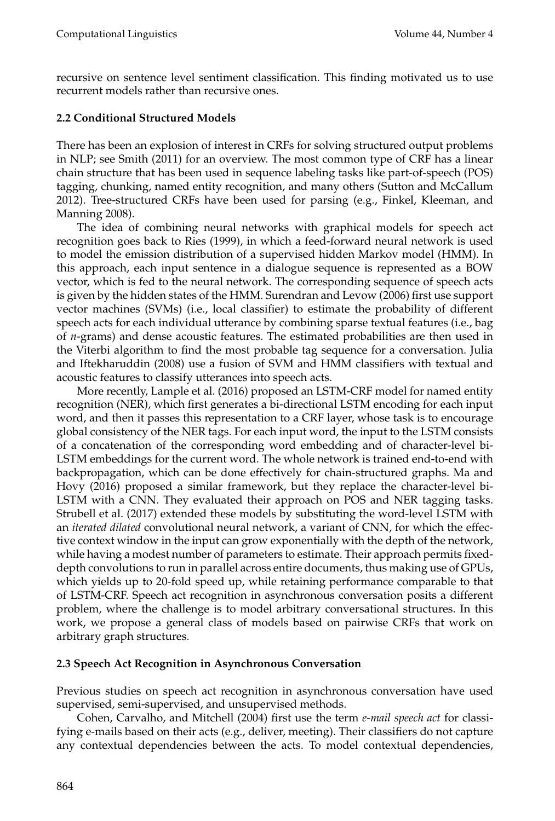recursive on sentence level sentiment classification. This finding motivated us to use recurrent models rather than recursive ones.

# **2.2 Conditional Structured Models**

There has been an explosion of interest in CRFs for solving structured output problems in NLP; see [Smith \(2011\)](#page-0-0) for an overview. The most common type of CRF has a linear chain structure that has been used in sequence labeling tasks like part-of-speech (POS) tagging, chunking, named entity recognition, and many others [\(Sutton and McCallum](#page-0-0) [2012\)](#page-0-0). Tree-structured CRFs have been used for parsing (e.g., Finkel, Kleeman, and Manning [2008\)](#page-0-0).

The idea of combining neural networks with graphical models for speech act recognition goes back to [Ries \(1999\)](#page-0-0), in which a feed-forward neural network is used to model the emission distribution of a supervised hidden Markov model (HMM). In this approach, each input sentence in a dialogue sequence is represented as a BOW vector, which is fed to the neural network. The corresponding sequence of speech acts is given by the hidden states of the HMM. [Surendran and Levow \(2006\)](#page-0-0) first use support vector machines (SVMs) (i.e., local classifier) to estimate the probability of different speech acts for each individual utterance by combining sparse textual features (i.e., bag of *n*-grams) and dense acoustic features. The estimated probabilities are then used in the Viterbi algorithm to find the most probable tag sequence for a conversation. [Julia](#page-0-0) [and Iftekharuddin \(2008\)](#page-0-0) use a fusion of SVM and HMM classifiers with textual and acoustic features to classify utterances into speech acts.

More recently, [Lample et al. \(2016\)](#page-0-0) proposed an LSTM-CRF model for named entity recognition (NER), which first generates a bi-directional LSTM encoding for each input word, and then it passes this representation to a CRF layer, whose task is to encourage global consistency of the NER tags. For each input word, the input to the LSTM consists of a concatenation of the corresponding word embedding and of character-level bi-LSTM embeddings for the current word. The whole network is trained end-to-end with backpropagation, which can be done effectively for chain-structured graphs. [Ma and](#page-0-0) [Hovy \(2016\)](#page-0-0) proposed a similar framework, but they replace the character-level bi-LSTM with a CNN. They evaluated their approach on POS and NER tagging tasks. [Strubell et al. \(2017\)](#page-0-0) extended these models by substituting the word-level LSTM with an *iterated dilated* convolutional neural network, a variant of CNN, for which the effective context window in the input can grow exponentially with the depth of the network, while having a modest number of parameters to estimate. Their approach permits fixeddepth convolutions to run in parallel across entire documents, thus making use of GPUs, which yields up to 20-fold speed up, while retaining performance comparable to that of LSTM-CRF. Speech act recognition in asynchronous conversation posits a different problem, where the challenge is to model arbitrary conversational structures. In this work, we propose a general class of models based on pairwise CRFs that work on arbitrary graph structures.

# **2.3 Speech Act Recognition in Asynchronous Conversation**

Previous studies on speech act recognition in asynchronous conversation have used supervised, semi-supervised, and unsupervised methods.

[Cohen, Carvalho, and Mitchell \(2004\)](#page-0-0) first use the term *e-mail speech act* for classifying e-mails based on their acts (e.g., deliver, meeting). Their classifiers do not capture any contextual dependencies between the acts. To model contextual dependencies,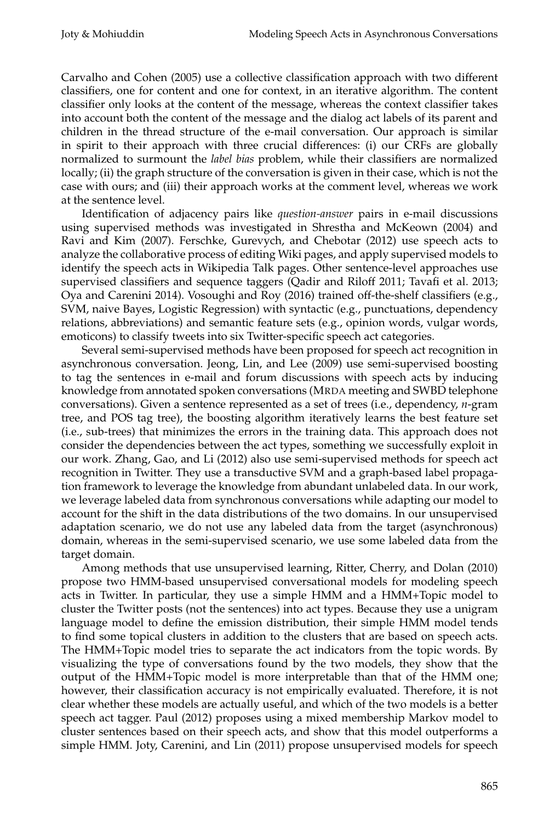[Carvalho and Cohen \(2005\)](#page-0-0) use a collective classification approach with two different classifiers, one for content and one for context, in an iterative algorithm. The content classifier only looks at the content of the message, whereas the context classifier takes into account both the content of the message and the dialog act labels of its parent and children in the thread structure of the e-mail conversation. Our approach is similar in spirit to their approach with three crucial differences: (i) our CRFs are globally normalized to surmount the *label bias* problem, while their classifiers are normalized locally; (ii) the graph structure of the conversation is given in their case, which is not the case with ours; and (iii) their approach works at the comment level, whereas we work at the sentence level.

Identification of adjacency pairs like *question-answer* pairs in e-mail discussions using supervised methods was investigated in [Shrestha and McKeown \(2004\)](#page-0-0) and [Ravi and Kim \(2007\)](#page-0-0). [Ferschke, Gurevych, and Chebotar \(2012\)](#page-0-0) use speech acts to analyze the collaborative process of editing Wiki pages, and apply supervised models to identify the speech acts in Wikipedia Talk pages. Other sentence-level approaches use supervised classifiers and sequence taggers [\(Qadir and Riloff 2011; Tavafi et al. 2013;](#page-0-0) [Oya and Carenini 2014\)](#page-0-0). [Vosoughi and Roy \(2016\)](#page-0-0) trained off-the-shelf classifiers (e.g., SVM, naive Bayes, Logistic Regression) with syntactic (e.g., punctuations, dependency relations, abbreviations) and semantic feature sets (e.g., opinion words, vulgar words, emoticons) to classify tweets into six Twitter-specific speech act categories.

Several semi-supervised methods have been proposed for speech act recognition in asynchronous conversation. [Jeong, Lin, and Lee \(2009\)](#page-0-0) use semi-supervised boosting to tag the sentences in e-mail and forum discussions with speech acts by inducing knowledge from annotated spoken conversations (MRDA meeting and SWBD telephone conversations). Given a sentence represented as a set of trees (i.e., dependency, *n*-gram tree, and POS tag tree), the boosting algorithm iteratively learns the best feature set (i.e., sub-trees) that minimizes the errors in the training data. This approach does not consider the dependencies between the act types, something we successfully exploit in our work. [Zhang, Gao, and Li \(2012\)](#page-0-0) also use semi-supervised methods for speech act recognition in Twitter. They use a transductive SVM and a graph-based label propagation framework to leverage the knowledge from abundant unlabeled data. In our work, we leverage labeled data from synchronous conversations while adapting our model to account for the shift in the data distributions of the two domains. In our unsupervised adaptation scenario, we do not use any labeled data from the target (asynchronous) domain, whereas in the semi-supervised scenario, we use some labeled data from the target domain.

Among methods that use unsupervised learning, [Ritter, Cherry, and Dolan \(2010\)](#page-0-0) propose two HMM-based unsupervised conversational models for modeling speech acts in Twitter. In particular, they use a simple HMM and a HMM+Topic model to cluster the Twitter posts (not the sentences) into act types. Because they use a unigram language model to define the emission distribution, their simple HMM model tends to find some topical clusters in addition to the clusters that are based on speech acts. The HMM+Topic model tries to separate the act indicators from the topic words. By visualizing the type of conversations found by the two models, they show that the output of the HMM+Topic model is more interpretable than that of the HMM one; however, their classification accuracy is not empirically evaluated. Therefore, it is not clear whether these models are actually useful, and which of the two models is a better speech act tagger. [Paul \(2012\)](#page-0-0) proposes using a mixed membership Markov model to cluster sentences based on their speech acts, and show that this model outperforms a simple HMM. [Joty, Carenini, and Lin \(2011\)](#page-0-0) propose unsupervised models for speech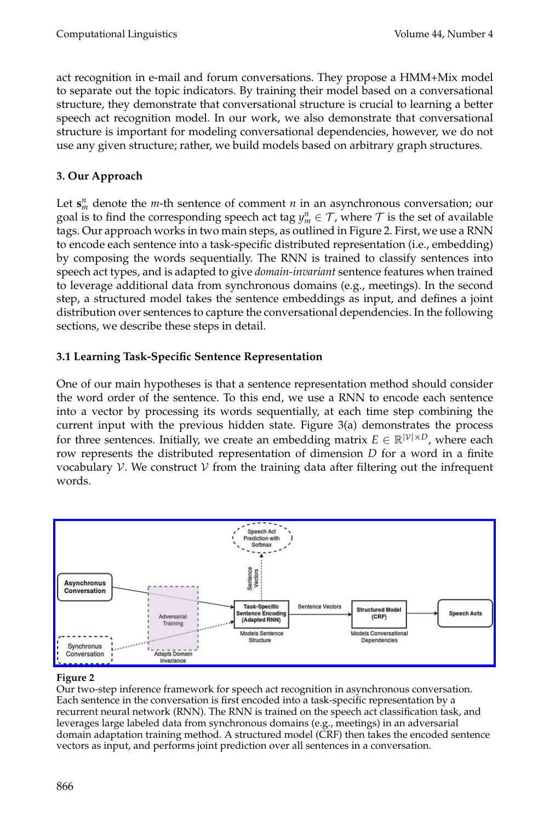act recognition in e-mail and forum conversations. They propose a HMM+Mix model to separate out the topic indicators. By training their model based on a conversational structure, they demonstrate that conversational structure is crucial to learning a better speech act recognition model. In our work, we also demonstrate that conversational structure is important for modeling conversational dependencies, however, we do not use any given structure; rather, we build models based on arbitrary graph structures.

# <span id="page-7-0"></span>**3. Our Approach**

Let  $\mathbf{s}_m^n$  denote the *m*-th sentence of comment *n* in an asynchronous conversation; our goal is to find the corresponding speech act tag  $y_m^n \in \mathcal{T}$ , where  $\mathcal T$  is the set of available tags. Our approach works in two main steps, as outlined in Figure [2.](#page-7-1) First, we use a RNN to encode each sentence into a task-specific distributed representation (i.e., embedding) by composing the words sequentially. The RNN is trained to classify sentences into speech act types, and is adapted to give *domain-invariant* sentence features when trained to leverage additional data from synchronous domains (e.g., meetings). In the second step, a structured model takes the sentence embeddings as input, and defines a joint distribution over sentences to capture the conversational dependencies. In the following sections, we describe these steps in detail.

# **3.1 Learning Task-Specific Sentence Representation**

One of our main hypotheses is that a sentence representation method should consider the word order of the sentence. To this end, we use a RNN to encode each sentence into a vector by processing its words sequentially, at each time step combining the current input with the previous hidden state. Figure [3\(](#page-8-0)a) demonstrates the process for three sentences. Initially, we create an embedding matrix  $E \in \mathbb{R}^{|\mathcal{V}| \times D}$ , where each row represents the distributed representation of dimension *D* for a word in a finite vocabulary  $V$ . We construct  $V$  from the training data after filtering out the infrequent words.

<span id="page-7-1"></span>

# **Figure 2**

Our two-step inference framework for speech act recognition in asynchronous conversation. Each sentence in the conversation is first encoded into a task-specific representation by a recurrent neural network (RNN). The RNN is trained on the speech act classification task, and leverages large labeled data from synchronous domains (e.g., meetings) in an adversarial domain adaptation training method. A structured model (CRF) then takes the encoded sentence vectors as input, and performs joint prediction over all sentences in a conversation.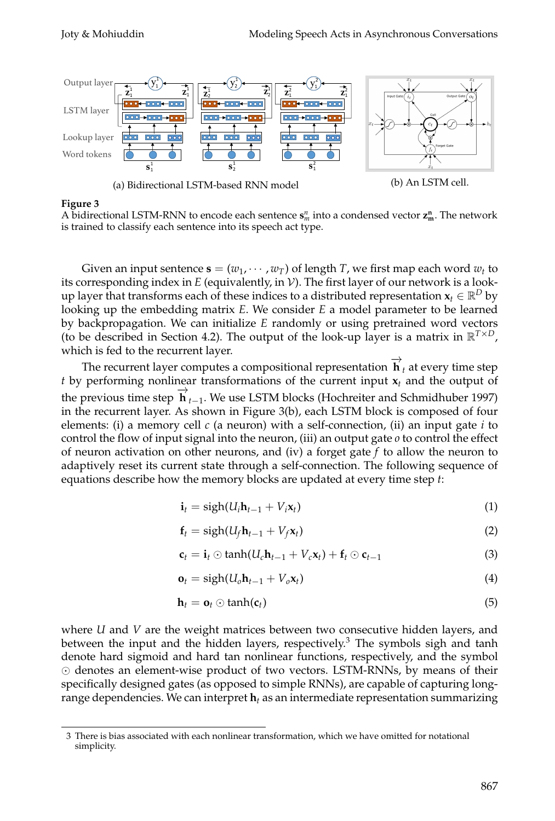<span id="page-8-0"></span>

**Figure 3**

A bidirectional LSTM-RNN to encode each sentence  $\mathbf{s}_m^n$  into a condensed vector  $\mathbf{z}_m^n$ . The network is trained to classify each sentence into its speech act type.

Given an input sentence  $\mathbf{s} = (w_1, \dots, w_T)$  of length *T*, we first map each word  $w_t$  to its corresponding index in *E* (equivalently, in V). The first layer of our network is a lookup layer that transforms each of these indices to a distributed representation  $\mathbf{x}_t \in \mathbb{R}^D$  by looking up the embedding matrix *E*. We consider *E* a model parameter to be learned by backpropagation. We can initialize *E* randomly or using pretrained word vectors (to be described in Section [4.2\)](#page-19-0). The output of the look-up layer is a matrix in  $\mathbb{R}^{T\times D}$ , which is fed to the recurrent layer.

The recurrent layer computes a compositional representation  $\mathbf{h}_t$  at every time step *t* by performing nonlinear transformations of the current input  $\mathbf{x}_t$  and the output of the previous time step  $\overrightarrow{\mathbf{h}}_{t-1}$ . We use LSTM blocks [\(Hochreiter and Schmidhuber 1997\)](#page-0-0) in the recurrent layer. As shown in Figure [3\(](#page-8-0)b), each LSTM block is composed of four elements: (i) a memory cell *c* (a neuron) with a self-connection, (ii) an input gate *i* to control the flow of input signal into the neuron, (iii) an output gate *o* to control the effect of neuron activation on other neurons, and (iv) a forget gate *f* to allow the neuron to adaptively reset its current state through a self-connection. The following sequence of equations describe how the memory blocks are updated at every time step *t*:

<span id="page-8-2"></span>
$$
\mathbf{i}_t = \text{sign}(U_i \mathbf{h}_{t-1} + V_i \mathbf{x}_t)
$$
\n(1)

$$
\mathbf{f}_t = \text{sign}(U_f \mathbf{h}_{t-1} + V_f \mathbf{x}_t)
$$
\n(2)

$$
\mathbf{c}_t = \mathbf{i}_t \odot \tanh(U_c \mathbf{h}_{t-1} + V_c \mathbf{x}_t) + \mathbf{f}_t \odot \mathbf{c}_{t-1}
$$
 (3)

$$
\mathbf{o}_t = \text{sign}(U_o \mathbf{h}_{t-1} + V_o \mathbf{x}_t)
$$
\n<sup>(4)</sup>

$$
\mathbf{h}_t = \mathbf{o}_t \odot \tanh(\mathbf{c}_t) \tag{5}
$$

where *U* and *V* are the weight matrices between two consecutive hidden layers, and between the input and the hidden layers, respectively.<sup>[3](#page-8-1)</sup> The symbols sigh and tanh denote hard sigmoid and hard tan nonlinear functions, respectively, and the symbol  denotes an element-wise product of two vectors. LSTM-RNNs, by means of their specifically designed gates (as opposed to simple RNNs), are capable of capturing longrange dependencies. We can interpret **h***<sup>t</sup>* as an intermediate representation summarizing

<span id="page-8-1"></span><sup>3</sup> There is bias associated with each nonlinear transformation, which we have omitted for notational simplicity.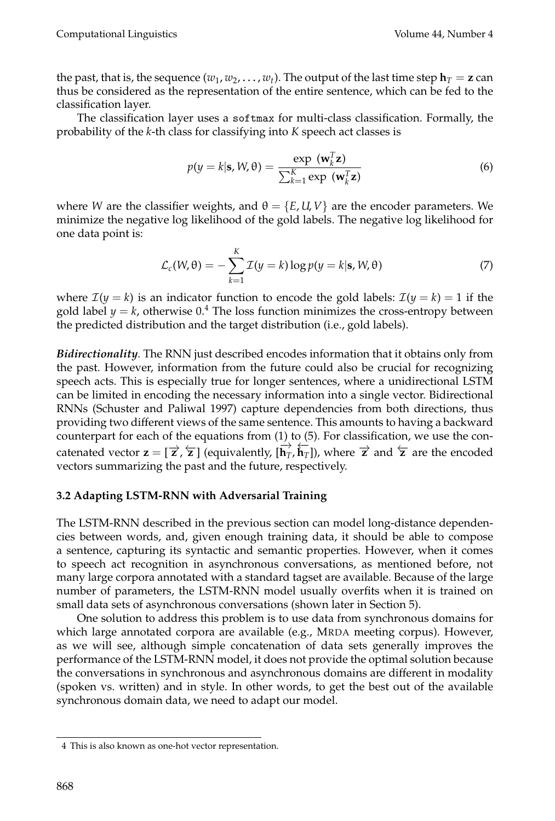the past, that is, the sequence  $(w_1, w_2, \ldots, w_t)$ . The output of the last time step  $\mathbf{h}_T = \mathbf{z}$  can thus be considered as the representation of the entire sentence, which can be fed to the classification layer.

The classification layer uses a softmax for multi-class classification. Formally, the probability of the *k*-th class for classifying into *K* speech act classes is

$$
p(y = k | \mathbf{s}, W, \theta) = \frac{\exp(\mathbf{w}_k^T \mathbf{z})}{\sum_{k=1}^K \exp(\mathbf{w}_k^T \mathbf{z})}
$$
(6)

where *W* are the classifier weights, and  $\theta = \{E, U, V\}$  are the encoder parameters. We minimize the negative log likelihood of the gold labels. The negative log likelihood for one data point is:

<span id="page-9-1"></span>
$$
\mathcal{L}_c(W,\theta) = -\sum_{k=1}^K \mathcal{I}(y=k) \log p(y=k|\mathbf{s}, W, \theta)
$$
\n(7)

where  $\mathcal{I}(y = k)$  is an indicator function to encode the gold labels:  $\mathcal{I}(y = k) = 1$  if the gold label  $y = k$ , otherwise  $0.4$  $0.4$  The loss function minimizes the cross-entropy between the predicted distribution and the target distribution (i.e., gold labels).

*Bidirectionality.* The RNN just described encodes information that it obtains only from the past. However, information from the future could also be crucial for recognizing speech acts. This is especially true for longer sentences, where a unidirectional LSTM can be limited in encoding the necessary information into a single vector. Bidirectional RNNs [\(Schuster and Paliwal 1997\)](#page-0-0) capture dependencies from both directions, thus providing two different views of the same sentence. This amounts to having a backward counterpart for each of the equations from [\(1\)](#page-8-2) to [\(5\)](#page-8-2). For classification, we use the concatenated vector  $z = [\vec{z}, \vec{\Sigma}]$  (equivalently,  $[\vec{h}_T, \vec{h}_T]$ ), where  $\vec{z}$  and  $\vec{\Sigma}$  are the encoded vectors summarizing the past and the future, respectively.

# <span id="page-9-2"></span>**3.2 Adapting LSTM-RNN with Adversarial Training**

The LSTM-RNN described in the previous section can model long-distance dependencies between words, and, given enough training data, it should be able to compose a sentence, capturing its syntactic and semantic properties. However, when it comes to speech act recognition in asynchronous conversations, as mentioned before, not many large corpora annotated with a standard tagset are available. Because of the large number of parameters, the LSTM-RNN model usually overfits when it is trained on small data sets of asynchronous conversations (shown later in Section [5\)](#page-20-0).

One solution to address this problem is to use data from synchronous domains for which large annotated corpora are available (e.g., MRDA meeting corpus). However, as we will see, although simple concatenation of data sets generally improves the performance of the LSTM-RNN model, it does not provide the optimal solution because the conversations in synchronous and asynchronous domains are different in modality (spoken vs. written) and in style. In other words, to get the best out of the available synchronous domain data, we need to adapt our model.

<span id="page-9-0"></span><sup>4</sup> This is also known as one-hot vector representation.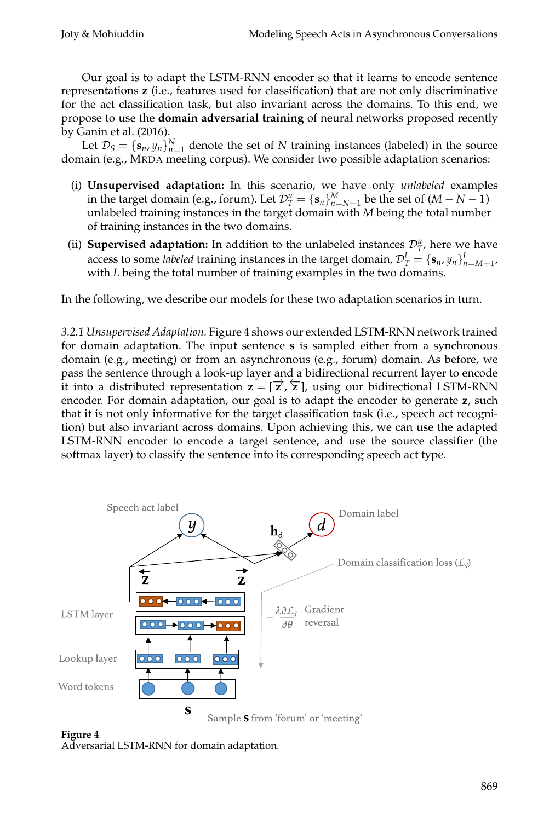Our goal is to adapt the LSTM-RNN encoder so that it learns to encode sentence representations **z** (i.e., features used for classification) that are not only discriminative for the act classification task, but also invariant across the domains. To this end, we propose to use the **domain adversarial training** of neural networks proposed recently by [Ganin et al. \(2016\)](#page-0-0).

Let  $\mathcal{D}_S = {\mathbf{s}_n, y_n}_{n=1}^N$  denote the set of *N* training instances (labeled) in the source domain (e.g., MRDA meeting corpus). We consider two possible adaptation scenarios:

- (i) **Unsupervised adaptation:** In this scenario, we have only *unlabeled* examples in the target domain (e.g., forum). Let  $\mathcal{D}_{T}^{u} = {\mathbf{s}_{n}}_{n=N+1}^{M}$  be the set of  $(M - N - 1)$ unlabeled training instances in the target domain with *M* being the total number of training instances in the two domains.
- (ii) **Supervised adaptation:** In addition to the unlabeled instances  $\mathcal{D}_{T}^{\mu}$ , here we have access to some *labeled* training instances in the target domain,  $\mathcal{D}_T^l = \{\mathbf{s}_n, y_n\}_{n=M+1}^L$ with *L* being the total number of training examples in the two domains.

In the following, we describe our models for these two adaptation scenarios in turn.

*3.2.1 Unsupervised Adaptation.* Figure [4](#page-10-0) shows our extended LSTM-RNN network trained for domain adaptation. The input sentence **s** is sampled either from a synchronous domain (e.g., meeting) or from an asynchronous (e.g., forum) domain. As before, we pass the sentence through a look-up layer and a bidirectional recurrent layer to encode it into a distributed representation  $z = [\overrightarrow{z}, \overleftarrow{z}]$ , using our bidirectional LSTM-RNN encoder. For domain adaptation, our goal is to adapt the encoder to generate **z**, such that it is not only informative for the target classification task (i.e., speech act recognition) but also invariant across domains. Upon achieving this, we can use the adapted LSTM-RNN encoder to encode a target sentence, and use the source classifier (the softmax layer) to classify the sentence into its corresponding speech act type.

<span id="page-10-0"></span>

**Figure 4** Adversarial LSTM-RNN for domain adaptation.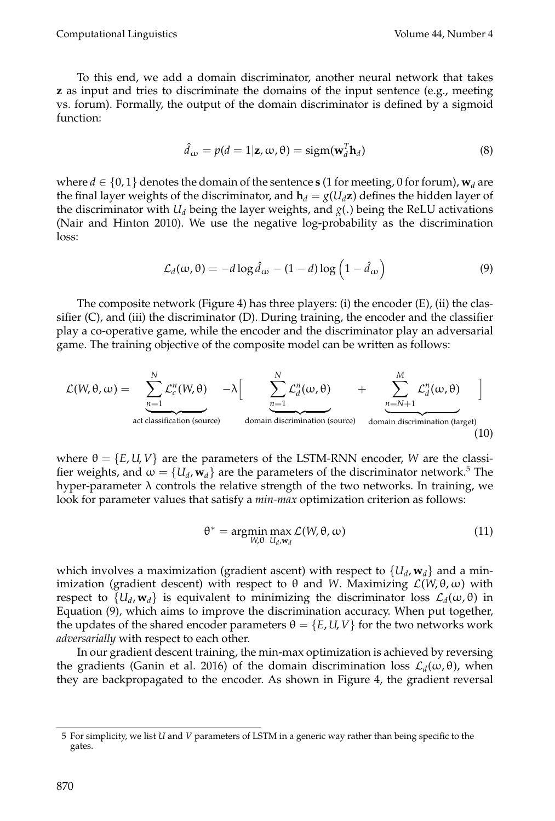To this end, we add a domain discriminator, another neural network that takes **z** as input and tries to discriminate the domains of the input sentence (e.g., meeting vs. forum). Formally, the output of the domain discriminator is defined by a sigmoid function:

$$
\hat{d}_{\omega} = p(d = 1 | \mathbf{z}, \omega, \theta) = \text{sigm}(\mathbf{w}_d^T \mathbf{h}_d)
$$
\n(8)

<span id="page-11-1"></span>where  $d \in \{0,1\}$  denotes the domain of the sentence **s** (1 for meeting, 0 for forum),  $\mathbf{w}_d$  are the final layer weights of the discriminator, and  $h_d = g(U_d z)$  defines the hidden layer of the discriminator with  $U_d$  being the layer weights, and  $g(.)$  being the ReLU activations [\(Nair and Hinton 2010\)](#page-0-0). We use the negative log-probability as the discrimination loss:

$$
\mathcal{L}_d(\omega,\theta) = -d \log \hat{d}_{\omega} - (1-d) \log \left(1 - \hat{d}_{\omega}\right) \tag{9}
$$

The composite network (Figure [4\)](#page-10-0) has three players: (i) the encoder (E), (ii) the classifier (C), and (iii) the discriminator (D). During training, the encoder and the classifier play a co-operative game, while the encoder and the discriminator play an adversarial game. The training objective of the composite model can be written as follows:

$$
\mathcal{L}(W,\theta,\omega) = \sum_{\substack{n=1 \ \text{act classification (source)}}}^{N} \mathcal{L}_{c}^{n}(W,\theta) - \lambda \Big[ \sum_{\substack{n=1 \ \text{domain discrimination (source)}}}^{N} \mathcal{L}_{d}^{n}(\omega,\theta) + \sum_{\substack{n=N+1 \ \text{domain discrimination (target)}}}^{M} \mathcal{L}_{d}^{n}(\omega,\theta) \Big]
$$
(10)

where  $\theta = \{E, U, V\}$  are the parameters of the LSTM-RNN encoder, *W* are the classifier weights, and  $\omega = \{U_d, \mathbf{w}_d\}$  are the parameters of the discriminator network.<sup>[5](#page-11-0)</sup> The hyper-parameter  $\lambda$  controls the relative strength of the two networks. In training, we look for parameter values that satisfy a *min-max* optimization criterion as follows:

$$
\theta^* = \underset{W, \theta}{\text{argmin}} \max_{U_d, \mathbf{w}_d} \mathcal{L}(W, \theta, \omega) \tag{11}
$$

which involves a maximization (gradient ascent) with respect to  $\{U_d, \mathbf{w}_d\}$  and a minimization (gradient descent) with respect to θ and *W*. Maximizing  $L(W, θ, ω)$  with respect to  $\{U_d, \mathbf{w}_d\}$  is equivalent to minimizing the discriminator loss  $\mathcal{L}_d(\omega, \theta)$  in Equation [\(9\)](#page-11-1), which aims to improve the discrimination accuracy. When put together, the updates of the shared encoder parameters  $\theta = \{E, U, V\}$  for the two networks work *adversarially* with respect to each other.

In our gradient descent training, the min-max optimization is achieved by reversing the gradients [\(Ganin et al. 2016\)](#page-0-0) of the domain discrimination loss  $\mathcal{L}_d(\omega,\theta)$ , when they are backpropagated to the encoder. As shown in Figure [4,](#page-10-0) the gradient reversal

<span id="page-11-0"></span><sup>5</sup> For simplicity, we list *U* and *V* parameters of LSTM in a generic way rather than being specific to the gates.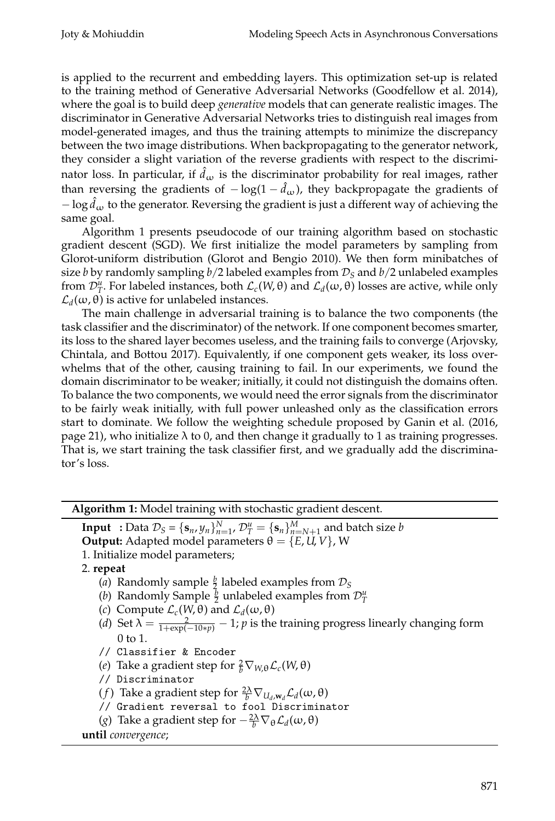is applied to the recurrent and embedding layers. This optimization set-up is related to the training method of Generative Adversarial Networks [\(Goodfellow et al. 2014\)](#page-0-0), where the goal is to build deep *generative* models that can generate realistic images. The discriminator in Generative Adversarial Networks tries to distinguish real images from model-generated images, and thus the training attempts to minimize the discrepancy between the two image distributions. When backpropagating to the generator network, they consider a slight variation of the reverse gradients with respect to the discriminator loss. In particular, if  $\hat{d}_{\omega}$  is the discriminator probability for real images, rather than reversing the gradients of  $-\log(1 - \hat{d}_{\omega})$ , they backpropagate the gradients of  $-\log \hat{d}_{\omega}$  to the generator. Reversing the gradient is just a different way of achieving the same goal.

Algorithm [1](#page-12-0) presents pseudocode of our training algorithm based on stochastic gradient descent (SGD). We first initialize the model parameters by sampling from Glorot-uniform distribution [\(Glorot and Bengio 2010\)](#page-0-0). We then form minibatches of size *b* by randomly sampling *b*/2 labeled examples from D*<sup>S</sup>* and *b*/2 unlabeled examples from  $\mathcal{D}_{T}^u$ . For labeled instances, both  $\mathcal{L}_c(W, \theta)$  and  $\mathcal{L}_d(\omega, \theta)$  losses are active, while only  $\mathcal{L}_d(\omega,\theta)$  is active for unlabeled instances.

The main challenge in adversarial training is to balance the two components (the task classifier and the discriminator) of the network. If one component becomes smarter, its loss to the shared layer becomes useless, and the training fails to converge [\(Arjovsky,](#page-0-0) [Chintala, and Bottou 2017\)](#page-0-0). Equivalently, if one component gets weaker, its loss overwhelms that of the other, causing training to fail. In our experiments, we found the domain discriminator to be weaker; initially, it could not distinguish the domains often. To balance the two components, we would need the error signals from the discriminator to be fairly weak initially, with full power unleashed only as the classification errors start to dominate. We follow the weighting schedule proposed by Ganin et al. [\(2016,](#page-0-0) page 21), who initialize  $\lambda$  to 0, and then change it gradually to 1 as training progresses. That is, we start training the task classifier first, and we gradually add the discriminator's loss.

<span id="page-12-0"></span>

| Algorithm 1: Model training with stochastic gradient descent.                                                                     |
|-----------------------------------------------------------------------------------------------------------------------------------|
| <b>Input</b> : Data $\mathcal{D}_S = {\mathbf{s}_n, y_n}_{n=1}^N$ , $\mathcal{D}_T^u = {\mathbf{s}_n}_{n=N+1}^M$ and batch size b |
| <b>Output:</b> Adapted model parameters $\theta = \{E, U, V\}$ , W                                                                |
| 1. Initialize model parameters;                                                                                                   |
| 2. repeat                                                                                                                         |
| ( <i>a</i> ) Randomly sample $\frac{b}{2}$ labeled examples from $\mathcal{D}_S$                                                  |
| (b) Randomly Sample $\frac{b}{2}$ unlabeled examples from $\mathcal{D}_T^u$                                                       |
| (c) Compute $\mathcal{L}_c(W, \theta)$ and $\mathcal{L}_d(\omega, \theta)$                                                        |
| ( <i>d</i> ) Set $\lambda = \frac{2}{1 + \exp(-10 * p)} - 1$ ; <i>p</i> is the training progress linearly changing form           |
| $0$ to 1.                                                                                                                         |
| // Classifier & Encoder                                                                                                           |
| (e) Take a gradient step for $\frac{2}{b} \nabla_{W,\theta} \mathcal{L}_c(W,\theta)$                                              |
| // Discriminator                                                                                                                  |
| ( <i>f</i> ) Take a gradient step for $\frac{2\lambda}{h} \nabla_{U_d, \mathbf{w}_d} \mathcal{L}_d(\omega, \theta)$               |
| // Gradient reversal to fool Discriminator                                                                                        |
| (g) Take a gradient step for $-\frac{2\lambda}{h} \nabla_{\theta} \mathcal{L}_d(\omega, \theta)$                                  |
| until convergence;                                                                                                                |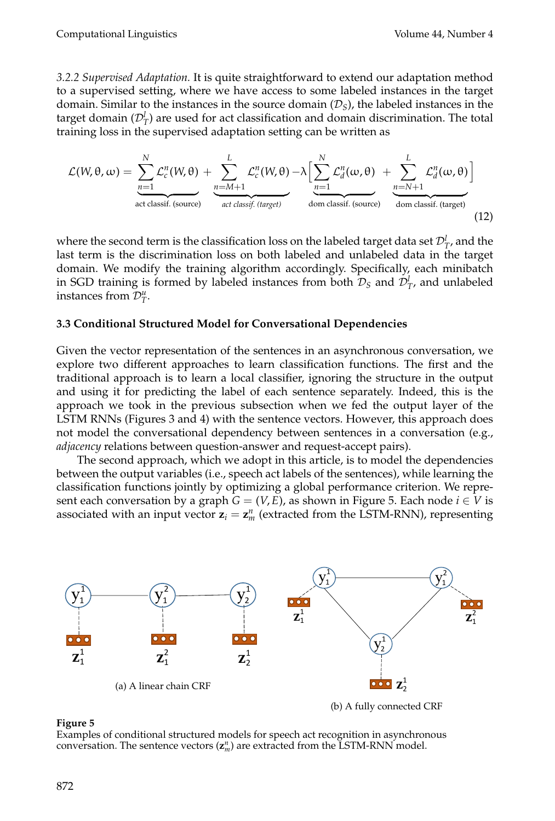*3.2.2 Supervised Adaptation.* It is quite straightforward to extend our adaptation method to a supervised setting, where we have access to some labeled instances in the target domain. Similar to the instances in the source domain  $(\mathcal{D}_S)$ , the labeled instances in the target domain  $(\mathcal{D}_T^l)$  are used for act classification and domain discrimination. The total training loss in the supervised adaptation setting can be written as

$$
\mathcal{L}(W,\theta,\omega) = \underbrace{\sum_{n=1}^{N} \mathcal{L}_{c}^{n}(W,\theta)}_{\text{act classif. (source)}} + \underbrace{\sum_{n=M+1}^{L} \mathcal{L}_{c}^{n}(W,\theta)}_{\text{act classif. (target)}} - \lambda \left[ \underbrace{\sum_{n=1}^{N} \mathcal{L}_{d}^{n}(\omega,\theta)}_{\text{dom classif. (source)}} + \underbrace{\sum_{n=N+1}^{L} \mathcal{L}_{d}^{n}(\omega,\theta)}_{\text{dom classif. (target)}} \right]
$$
(12)

where the second term is the classification loss on the labeled target data set  $\mathcal{D}_T^l$  , and the last term is the discrimination loss on both labeled and unlabeled data in the target domain. We modify the training algorithm accordingly. Specifically, each minibatch in SGD training is formed by labeled instances from both  $\mathcal{D}_S$  and  $\mathcal{D}_T^l$ , and unlabeled instances from  $\mathcal{D}_T^u$ .

### **3.3 Conditional Structured Model for Conversational Dependencies**

Given the vector representation of the sentences in an asynchronous conversation, we explore two different approaches to learn classification functions. The first and the traditional approach is to learn a local classifier, ignoring the structure in the output and using it for predicting the label of each sentence separately. Indeed, this is the approach we took in the previous subsection when we fed the output layer of the LSTM RNNs (Figures [3](#page-8-0) and [4\)](#page-10-0) with the sentence vectors. However, this approach does not model the conversational dependency between sentences in a conversation (e.g., *adjacency* relations between question-answer and request-accept pairs).

The second approach, which we adopt in this article, is to model the dependencies between the output variables (i.e., speech act labels of the sentences), while learning the classification functions jointly by optimizing a global performance criterion. We represent each conversation by a graph  $G = (V, E)$ , as shown in Figure [5.](#page-13-0) Each node  $i \in V$  is associated with an input vector  $z_i = z_m^n$  (extracted from the LSTM-RNN), representing

<span id="page-13-0"></span>

### **Figure 5**

Examples of conditional structured models for speech act recognition in asynchronous conversation. The sentence vectors (**z** *n <sup>m</sup>*) are extracted from the LSTM-RNN model.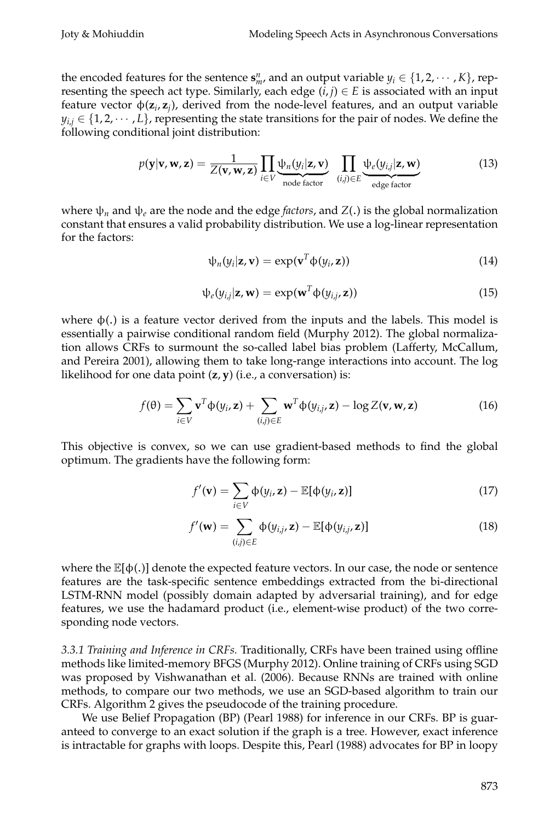the encoded features for the sentence  $\mathbf{s}_m^n$ , and an output variable  $y_i \in \{1, 2, \cdots, K\}$ , representing the speech act type. Similarly, each edge  $(i, j) \in E$  is associated with an input feature vector φ(**z***<sup>i</sup>* , **z***<sup>j</sup>* ), derived from the node-level features, and an output variable  $y_{i,j} \in \{1, 2, \dots, L\}$ , representing the state transitions for the pair of nodes. We define the following conditional joint distribution:

<span id="page-14-0"></span>
$$
p(\mathbf{y}|\mathbf{v}, \mathbf{w}, \mathbf{z}) = \frac{1}{Z(\mathbf{v}, \mathbf{w}, \mathbf{z})} \prod_{i \in V} \underbrace{\psi_n(y_i|\mathbf{z}, \mathbf{v})}_{\text{node factor}} \prod_{(i,j) \in E} \underbrace{\psi_e(y_{i,j}|\mathbf{z}, \mathbf{w})}_{\text{edge factor}}
$$
(13)

where  $\psi_n$  and  $\psi_e$  are the node and the edge *factors*, and  $Z(.)$  is the global normalization constant that ensures a valid probability distribution. We use a log-linear representation for the factors:

$$
\psi_n(y_i|\mathbf{z}, \mathbf{v}) = \exp(\mathbf{v}^T \phi(y_i, \mathbf{z}))
$$
\n(14)

$$
\psi_e(y_{i,j}|\mathbf{z}, \mathbf{w}) = \exp(\mathbf{w}^T \phi(y_{i,j}, \mathbf{z}))
$$
\n(15)

where  $\phi(.)$  is a feature vector derived from the inputs and the labels. This model is essentially a pairwise conditional random field [\(Murphy 2012\)](#page-0-0). The global normalization allows CRFs to surmount the so-called label bias problem [\(Lafferty, McCallum,](#page-0-0) [and Pereira 2001\)](#page-0-0), allowing them to take long-range interactions into account. The log likelihood for one data point (**z**, **y**) (i.e., a conversation) is:

$$
f(\theta) = \sum_{i \in V} \mathbf{v}^T \phi(y_i, \mathbf{z}) + \sum_{(i,j) \in E} \mathbf{w}^T \phi(y_{i,j}, \mathbf{z}) - \log Z(\mathbf{v}, \mathbf{w}, \mathbf{z})
$$
(16)

This objective is convex, so we can use gradient-based methods to find the global optimum. The gradients have the following form:

$$
f'(\mathbf{v}) = \sum_{i \in V} \Phi(y_i, \mathbf{z}) - \mathbb{E}[\Phi(y_i, \mathbf{z})]
$$
 (17)

$$
f'(\mathbf{w}) = \sum_{(i,j)\in E} \Phi(y_{i,j}, \mathbf{z}) - \mathbb{E}[\Phi(y_{i,j}, \mathbf{z})]
$$
(18)

where the  $\mathbb{E}[\phi(.)]$  denote the expected feature vectors. In our case, the node or sentence features are the task-specific sentence embeddings extracted from the bi-directional LSTM-RNN model (possibly domain adapted by adversarial training), and for edge features, we use the hadamard product (i.e., element-wise product) of the two corresponding node vectors.

*3.3.1 Training and Inference in CRFs.* Traditionally, CRFs have been trained using offline methods like limited-memory BFGS [\(Murphy 2012\)](#page-0-0). Online training of CRFs using SGD was proposed by [Vishwanathan et al. \(2006\)](#page-0-0). Because RNNs are trained with online methods, to compare our two methods, we use an SGD-based algorithm to train our CRFs. Algorithm [2](#page-15-0) gives the pseudocode of the training procedure.

We use Belief Propagation (BP) [\(Pearl 1988\)](#page-0-0) for inference in our CRFs. BP is guaranteed to converge to an exact solution if the graph is a tree. However, exact inference is intractable for graphs with loops. Despite this, [Pearl \(1988\)](#page-0-0) advocates for BP in loopy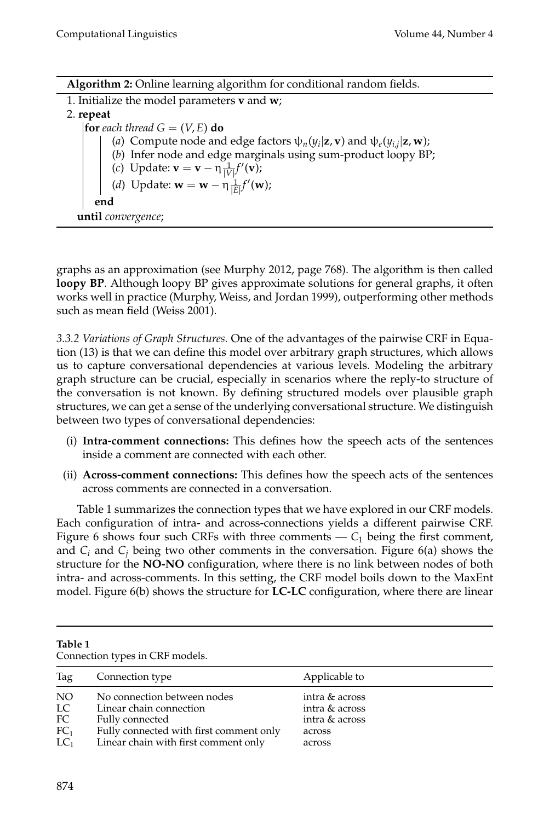**Algorithm 2:** Online learning algorithm for conditional random fields.

1. Initialize the model parameters **v** and **w**; 2. **repeat for** each thread  $G = (V, E)$  **do** (*a*) Compute node and edge factors  $\psi_n(y_i|\mathbf{z}, \mathbf{v})$  and  $\psi_e(y_{i,j}|\mathbf{z}, \mathbf{w})$ ; (*b*) Infer node and edge marginals using sum-product loopy BP; (*c*) Update:  $\mathbf{v} = \mathbf{v} - \eta \frac{1}{|V|} f'(\mathbf{v})$ ; (*d*) Update:  $\mathbf{w} = \mathbf{w} - \eta \frac{1}{|E|} f'(\mathbf{w});$ **end until** *convergence*;

<span id="page-15-0"></span>graphs as an approximation (see Murphy [2012,](#page-0-0) page 768). The algorithm is then called **loopy BP**. Although loopy BP gives approximate solutions for general graphs, it often works well in practice [\(Murphy, Weiss, and Jordan 1999\)](#page-0-0), outperforming other methods such as mean field [\(Weiss 2001\)](#page-0-0).

*3.3.2 Variations of Graph Structures.* One of the advantages of the pairwise CRF in Equation [\(13\)](#page-14-0) is that we can define this model over arbitrary graph structures, which allows us to capture conversational dependencies at various levels. Modeling the arbitrary graph structure can be crucial, especially in scenarios where the reply-to structure of the conversation is not known. By defining structured models over plausible graph structures, we can get a sense of the underlying conversational structure. We distinguish between two types of conversational dependencies:

- (i) **Intra-comment connections:** This defines how the speech acts of the sentences inside a comment are connected with each other.
- (ii) **Across-comment connections:** This defines how the speech acts of the sentences across comments are connected in a conversation.

Table [1](#page-15-1) summarizes the connection types that we have explored in our CRF models. Each configuration of intra- and across-connections yields a different pairwise CRF. Figure [6](#page-16-1) shows four such CRFs with three comments  $-C_1$  being the first comment, and  $C_i$  and  $C_j$  being two other comments in the conversation. Figure [6\(](#page-16-1)a) shows the structure for the **NO-NO** configuration, where there is no link between nodes of both intra- and across-comments. In this setting, the CRF model boils down to the MaxEnt model. Figure [6\(](#page-16-1)b) shows the structure for **LC-LC** configuration, where there are linear

<span id="page-15-1"></span>

| Table 1                                      | Connection types in CRF models.                                                                                                                              |                                                                        |
|----------------------------------------------|--------------------------------------------------------------------------------------------------------------------------------------------------------------|------------------------------------------------------------------------|
| Tag                                          | Connection type                                                                                                                                              | Applicable to                                                          |
| NO.<br>LC<br>FC<br>FC <sub>1</sub><br>$LC_1$ | No connection between nodes<br>Linear chain connection<br>Fully connected<br>Fully connected with first comment only<br>Linear chain with first comment only | intra & across<br>intra & across<br>intra & across<br>across<br>across |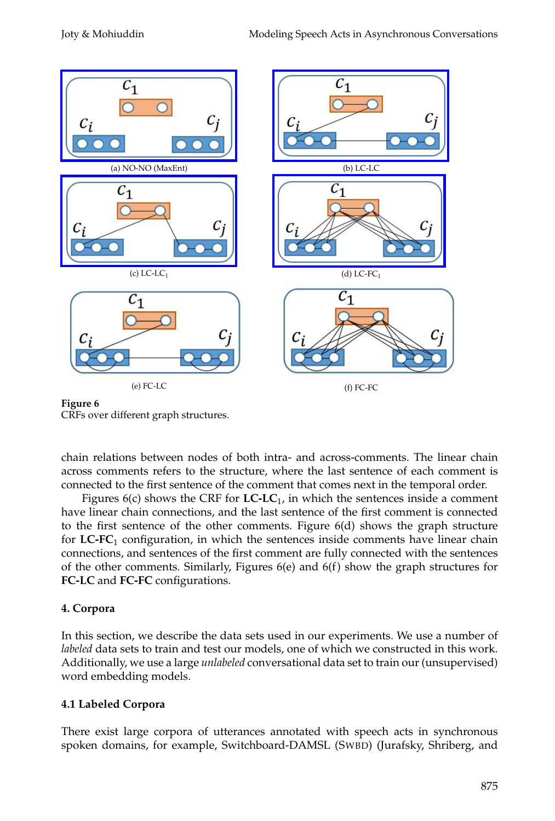<span id="page-16-1"></span>

**Figure 6** CRFs over different graph structures.

chain relations between nodes of both intra- and across-comments. The linear chain across comments refers to the structure, where the last sentence of each comment is connected to the first sentence of the comment that comes next in the temporal order.

Figures [6\(](#page-16-1)c) shows the CRF for **LC-LC**<sup>1</sup> , in which the sentences inside a comment have linear chain connections, and the last sentence of the first comment is connected to the first sentence of the other comments. Figure  $6(d)$  shows the graph structure for **LC-FC**<sup>1</sup> configuration, in which the sentences inside comments have linear chain connections, and sentences of the first comment are fully connected with the sentences of the other comments. Similarly, Figures  $6(e)$  and  $6(f)$  show the graph structures for **FC-LC** and **FC-FC** configurations.

# <span id="page-16-0"></span>**4. Corpora**

In this section, we describe the data sets used in our experiments. We use a number of *labeled* data sets to train and test our models, one of which we constructed in this work. Additionally, we use a large *unlabeled* conversational data set to train our (unsupervised) word embedding models.

# <span id="page-16-2"></span>**4.1 Labeled Corpora**

There exist large corpora of utterances annotated with speech acts in synchronous spoken domains, for example, Switchboard-DAMSL (SWBD) (Jurafsky, Shriberg, and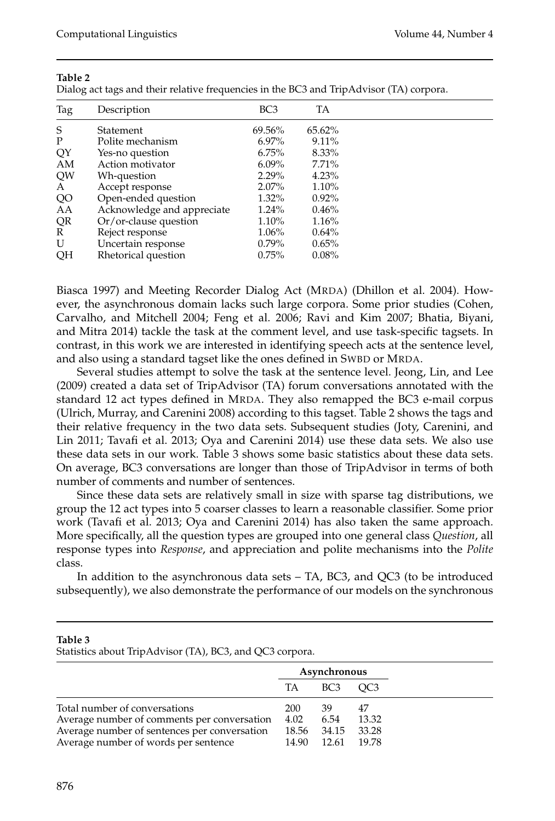| Tag       | Description                | BC <sub>3</sub> | TA       |  |
|-----------|----------------------------|-----------------|----------|--|
| S         | Statement                  | 69.56%          | 65.62%   |  |
| P         | Polite mechanism           | $6.97\%$        | 9.11%    |  |
| QY        | Yes-no question            | 6.75%           | 8.33%    |  |
| AM        | Action motivator           | $6.09\%$        | 7.71%    |  |
| <b>QW</b> | Wh-question                | $2.29\%$        | 4.23%    |  |
| A         | Accept response            | $2.07\%$        | 1.10%    |  |
| QO        | Open-ended question        | 1.32%           | $0.92\%$ |  |
| AA        | Acknowledge and appreciate | 1.24%           | 0.46%    |  |
| QR        | Or/or-clause question      | 1.10%           | 1.16%    |  |
| R         | Reject response            | $1.06\%$        | $0.64\%$ |  |
| U         | Uncertain response         | $0.79\%$        | 0.65%    |  |
| QH        | Rhetorical question        | 0.75%           | $0.08\%$ |  |
|           |                            |                 |          |  |

<span id="page-17-0"></span>Dialog act tags and their relative frequencies in the BC3 and TripAdvisor (TA) corpora.

Biasca [1997\)](#page-0-0) and Meeting Recorder Dialog Act (MRDA) [\(Dhillon et al. 2004\)](#page-0-0). However, the asynchronous domain lacks such large corpora. Some prior studies [\(Cohen,](#page-0-0) [Carvalho, and Mitchell 2004; Feng et al. 2006; Ravi and Kim 2007; Bhatia, Biyani,](#page-0-0) [and Mitra 2014\)](#page-0-0) tackle the task at the comment level, and use task-specific tagsets. In contrast, in this work we are interested in identifying speech acts at the sentence level, and also using a standard tagset like the ones defined in SWBD or MRDA.

Several studies attempt to solve the task at the sentence level. [Jeong, Lin, and Lee](#page-0-0) [\(2009\)](#page-0-0) created a data set of TripAdvisor (TA) forum conversations annotated with the standard 12 act types defined in MRDA. They also remapped the BC3 e-mail corpus [\(Ulrich, Murray, and Carenini 2008\)](#page-0-0) according to this tagset. Table [2](#page-17-0) shows the tags and their relative frequency in the two data sets. Subsequent studies [\(Joty, Carenini, and](#page-0-0) [Lin 2011; Tavafi et al. 2013; Oya and Carenini 2014\)](#page-0-0) use these data sets. We also use these data sets in our work. Table [3](#page-17-1) shows some basic statistics about these data sets. On average, BC3 conversations are longer than those of TripAdvisor in terms of both number of comments and number of sentences.

Since these data sets are relatively small in size with sparse tag distributions, we group the 12 act types into 5 coarser classes to learn a reasonable classifier. Some prior work [\(Tavafi et al. 2013; Oya and Carenini 2014\)](#page-0-0) has also taken the same approach. More specifically, all the question types are grouped into one general class *Question*, all response types into *Response*, and appreciation and polite mechanisms into the *Polite* class.

In addition to the asynchronous data sets – TA, BC3, and QC3 (to be introduced subsequently), we also demonstrate the performance of our models on the synchronous

#### <span id="page-17-1"></span>**Table 3**

Statistics about TripAdvisor (TA), BC3, and QC3 corpora.

|                                                                                                                                                                      |             | Asynchronous                             |                               |
|----------------------------------------------------------------------------------------------------------------------------------------------------------------------|-------------|------------------------------------------|-------------------------------|
|                                                                                                                                                                      | TA          | BC3                                      | OC <sub>3</sub>               |
| Total number of conversations<br>Average number of comments per conversation<br>Average number of sentences per conversation<br>Average number of words per sentence | 200<br>4.02 | 39<br>6.54<br>18.56 34.15<br>14.90 12.61 | 47<br>13.32<br>33.28<br>19.78 |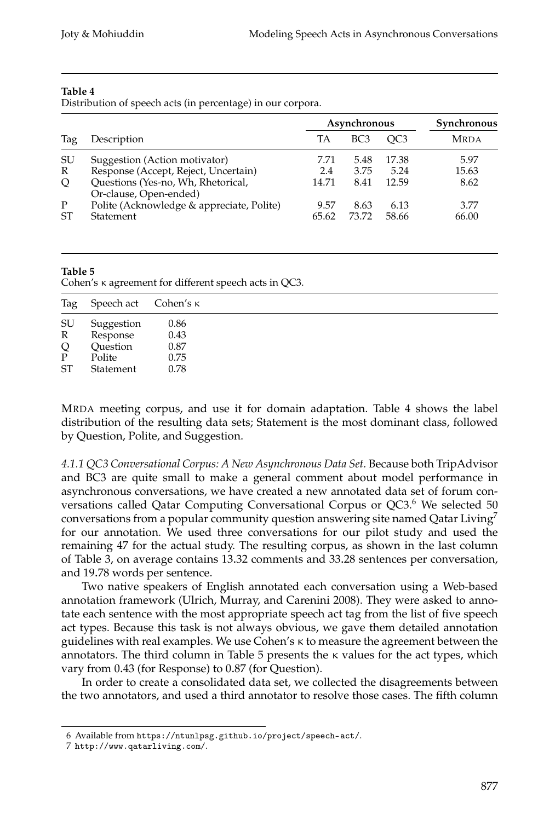<span id="page-18-0"></span>Distribution of speech acts (in percentage) in our corpora.

|           |                                                              |       | Asynchronous |       | Synchronous |
|-----------|--------------------------------------------------------------|-------|--------------|-------|-------------|
| Tag       | Description                                                  | TA    | BC3          | OC3   | <b>MRDA</b> |
| SU        | Suggestion (Action motivator)                                | 7.71  | 5.48         | 17.38 | 5.97        |
| R         | Response (Accept, Reject, Uncertain)                         | 2.4   | 3.75         | 5.24  | 15.63       |
| Q         | Questions (Yes-no, Wh, Rhetorical,<br>Or-clause, Open-ended) | 14.71 | 8.41         | 12.59 | 8.62        |
| P         | Polite (Acknowledge & appreciate, Polite)                    | 9.57  | 8.63         | 6.13  | 3.77        |
| <b>ST</b> | Statement                                                    | 65.62 | 73.72        | 58.66 | 66.00       |

### <span id="page-18-3"></span>**Table 5** Cohen's κ agreement for different speech acts in QC3.

|              | Tag Speech act Cohen's K |      |  |
|--------------|--------------------------|------|--|
| SU           | Suggestion               | 0.86 |  |
| $\mathbb{R}$ | Response                 | 0.43 |  |
| Q            | Ouestion                 | 0.87 |  |
| P            | Polite                   | 0.75 |  |
| <b>ST</b>    | Statement                | 0.78 |  |

MRDA meeting corpus, and use it for domain adaptation. Table [4](#page-18-0) shows the label distribution of the resulting data sets; Statement is the most dominant class, followed by Question, Polite, and Suggestion.

*4.1.1 QC3 Conversational Corpus: A New Asynchronous Data Set.* Because both TripAdvisor and BC3 are quite small to make a general comment about model performance in asynchronous conversations, we have created a new annotated data set of forum conversations called Qatar Computing Conversational Corpus or  $QC3.6$  $QC3.6$ <sup>6</sup> We selected 50 conversations from a popular community question answering site named Qatar Living<sup>[7](#page-18-2)</sup> for our annotation. We used three conversations for our pilot study and used the remaining 47 for the actual study. The resulting corpus, as shown in the last column of Table [3,](#page-17-1) on average contains 13.32 comments and 33.28 sentences per conversation, and 19.78 words per sentence.

Two native speakers of English annotated each conversation using a Web-based annotation framework [\(Ulrich, Murray, and Carenini 2008\)](#page-0-0). They were asked to annotate each sentence with the most appropriate speech act tag from the list of five speech act types. Because this task is not always obvious, we gave them detailed annotation guidelines with real examples. We use Cohen's κ to measure the agreement between the annotators. The third column in Table [5](#page-18-3) presents the  $\kappa$  values for the act types, which vary from 0.43 (for Response) to 0.87 (for Question).

In order to create a consolidated data set, we collected the disagreements between the two annotators, and used a third annotator to resolve those cases. The fifth column

<span id="page-18-1"></span><sup>6</sup> Available from <https://ntunlpsg.github.io/project/speech-act/>.

<span id="page-18-2"></span><sup>7</sup> <http://www.qatarliving.com/>.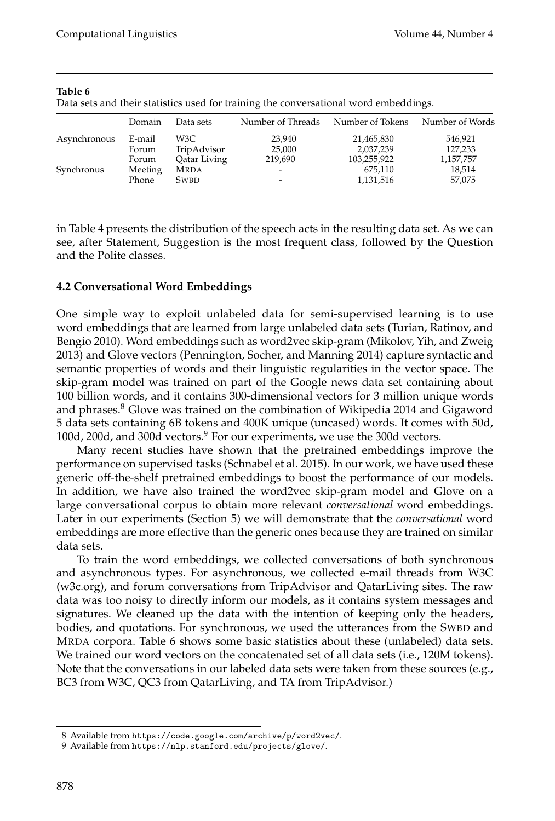<span id="page-19-3"></span>Data sets and their statistics used for training the conversational word embeddings.

|              | Domain  | Data sets    | Number of Threads Number of Tokens |             | Number of Words |
|--------------|---------|--------------|------------------------------------|-------------|-----------------|
| Asynchronous | E-mail  | W3C.         | 23,940                             | 21,465,830  | 546,921         |
|              | Forum   | TripAdvisor  | 25,000                             | 2,037,239   | 127,233         |
|              | Forum   | Qatar Living | 219,690                            | 103,255,922 | 1,157,757       |
| Synchronus   | Meeting | <b>MRDA</b>  | -                                  | 675,110     | 18,514          |
|              | Phone   | <b>SWBD</b>  | -                                  | 1,131,516   | 57,075          |

in Table [4](#page-18-0) presents the distribution of the speech acts in the resulting data set. As we can see, after Statement, Suggestion is the most frequent class, followed by the Question and the Polite classes.

#### <span id="page-19-0"></span>**4.2 Conversational Word Embeddings**

One simple way to exploit unlabeled data for semi-supervised learning is to use word embeddings that are learned from large unlabeled data sets [\(Turian, Ratinov, and](#page-0-0) [Bengio 2010\)](#page-0-0). Word embeddings such as word2vec skip-gram [\(Mikolov, Yih, and Zweig](#page-0-0) [2013\)](#page-0-0) and Glove vectors [\(Pennington, Socher, and Manning 2014\)](#page-0-0) capture syntactic and semantic properties of words and their linguistic regularities in the vector space. The skip-gram model was trained on part of the Google news data set containing about 100 billion words, and it contains 300-dimensional vectors for 3 million unique words and phrases.<sup>[8](#page-19-1)</sup> Glove was trained on the combination of Wikipedia 2014 and Gigaword 5 data sets containing 6B tokens and 400K unique (uncased) words. It comes with 50d, 100d, 200d, and 300d vectors.<sup>[9](#page-19-2)</sup> For our experiments, we use the 300d vectors.

Many recent studies have shown that the pretrained embeddings improve the performance on supervised tasks [\(Schnabel et al. 2015\)](#page-0-0). In our work, we have used these generic off-the-shelf pretrained embeddings to boost the performance of our models. In addition, we have also trained the word2vec skip-gram model and Glove on a large conversational corpus to obtain more relevant *conversational* word embeddings. Later in our experiments (Section [5\)](#page-20-0) we will demonstrate that the *conversational* word embeddings are more effective than the generic ones because they are trained on similar data sets.

To train the word embeddings, we collected conversations of both synchronous and asynchronous types. For asynchronous, we collected e-mail threads from W3C (w3c.org), and forum conversations from TripAdvisor and QatarLiving sites. The raw data was too noisy to directly inform our models, as it contains system messages and signatures. We cleaned up the data with the intention of keeping only the headers, bodies, and quotations. For synchronous, we used the utterances from the SWBD and MRDA corpora. Table [6](#page-19-3) shows some basic statistics about these (unlabeled) data sets. We trained our word vectors on the concatenated set of all data sets (i.e., 120M tokens). Note that the conversations in our labeled data sets were taken from these sources (e.g., BC3 from W3C, QC3 from QatarLiving, and TA from TripAdvisor.)

<span id="page-19-1"></span><sup>8</sup> Available from <https://code.google.com/archive/p/word2vec/>.

<span id="page-19-2"></span><sup>9</sup> Available from <https://nlp.stanford.edu/projects/glove/>.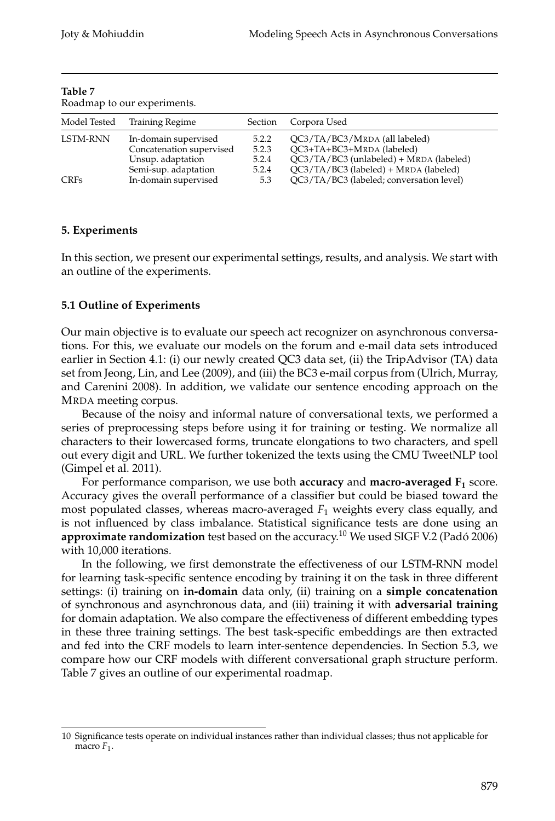|                         | Roadmap to our experiments.                                                                                           |                                         |                                                                                                                                                                                              |
|-------------------------|-----------------------------------------------------------------------------------------------------------------------|-----------------------------------------|----------------------------------------------------------------------------------------------------------------------------------------------------------------------------------------------|
| Model Tested            | <b>Training Regime</b>                                                                                                | Section                                 | Corpora Used                                                                                                                                                                                 |
| LSTM-RNN<br><b>CRFs</b> | In-domain supervised<br>Concatenation supervised<br>Unsup. adaptation<br>Semi-sup. adaptation<br>In-domain supervised | 5.2.2<br>5.2.3<br>5.2.4<br>5.2.4<br>5.3 | OC3/TA/BC3/MRDA (all labeled)<br>OC3+TA+BC3+MRDA (labeled)<br>QC3/TA/BC3 (unlabeled) + MRDA (labeled)<br>$QC3/TA/BC3$ (labeled) + MRDA (labeled)<br>QC3/TA/BC3 (labeled; conversation level) |

<span id="page-20-2"></span>Roadmap to our experiments.

### <span id="page-20-0"></span>**5. Experiments**

In this section, we present our experimental settings, results, and analysis. We start with an outline of the experiments.

### **5.1 Outline of Experiments**

Our main objective is to evaluate our speech act recognizer on asynchronous conversations. For this, we evaluate our models on the forum and e-mail data sets introduced earlier in Section [4.1:](#page-16-2) (i) our newly created QC3 data set, (ii) the TripAdvisor (TA) data set from [Jeong, Lin, and Lee \(2009\)](#page-0-0), and (iii) the BC3 e-mail corpus from [\(Ulrich, Murray,](#page-0-0) [and Carenini 2008\)](#page-0-0). In addition, we validate our sentence encoding approach on the MRDA meeting corpus.

Because of the noisy and informal nature of conversational texts, we performed a series of preprocessing steps before using it for training or testing. We normalize all characters to their lowercased forms, truncate elongations to two characters, and spell out every digit and URL. We further tokenized the texts using the CMU TweetNLP tool [\(Gimpel et al. 2011\)](#page-0-0).

For performance comparison, we use both **accuracy** and **macro-averaged F<sup>1</sup>** score. Accuracy gives the overall performance of a classifier but could be biased toward the most populated classes, whereas macro-averaged *F*<sup>1</sup> weights every class equally, and is not influenced by class imbalance. Statistical significance tests are done using an **approximate randomization** test based on the accuracy.[10](#page-20-1) We used SIGF V.2 [\(Padó 2006\)](#page-0-0) with 10,000 iterations.

In the following, we first demonstrate the effectiveness of our LSTM-RNN model for learning task-specific sentence encoding by training it on the task in three different settings: (i) training on **in-domain** data only, (ii) training on a **simple concatenation** of synchronous and asynchronous data, and (iii) training it with **adversarial training** for domain adaptation. We also compare the effectiveness of different embedding types in these three training settings. The best task-specific embeddings are then extracted and fed into the CRF models to learn inter-sentence dependencies. In Section [5.3,](#page-27-0) we compare how our CRF models with different conversational graph structure perform. Table [7](#page-20-2) gives an outline of our experimental roadmap.

<span id="page-20-1"></span><sup>10</sup> Significance tests operate on individual instances rather than individual classes; thus not applicable for macro *F*<sup>1</sup> .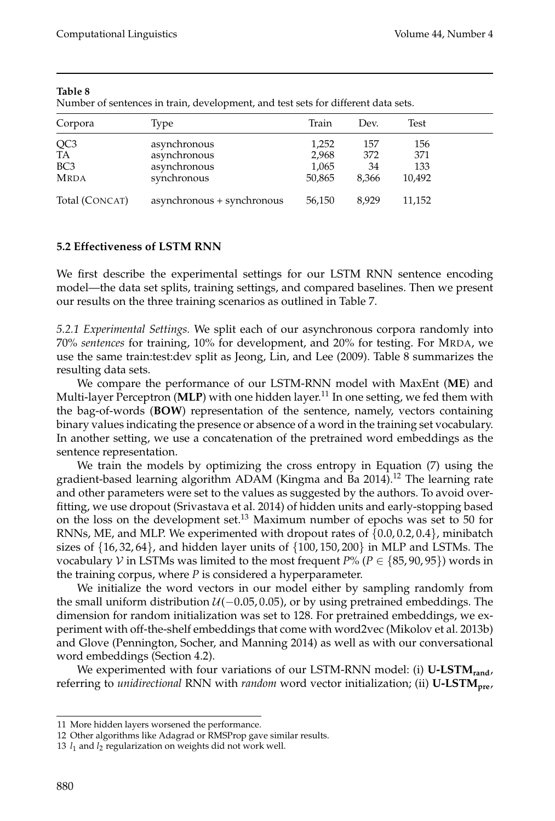<span id="page-21-0"></span>

| Table |  |  |  |  |  |  |  |  |  |  |  |  |  |  |  |  |  |  |  |  |  |  |  |  |  |  |  |  |  |  |  |  |  |  |  |  |  |  |  |  |  |  |  |  |  |  |  |  |  |  |  |  |  |  |  |  |  |  |  |  |  |  |  |  |  |  |  |  |  |  |  |  |  |  |  |  |  |  |  |  |  |  |  |  |  |  |  |  |  |  |  |  |  |  |  |  |  |  |  |  |  |  |  |  |  |  |  |  |  |  |  |  |  |  |  |  |  |  |  |  |  |  |  |  |  |  |  |  |  |  |  |  |  |  |  |  |  |  |  |  |  |  |  |  |  |  |
|-------|--|--|--|--|--|--|--|--|--|--|--|--|--|--|--|--|--|--|--|--|--|--|--|--|--|--|--|--|--|--|--|--|--|--|--|--|--|--|--|--|--|--|--|--|--|--|--|--|--|--|--|--|--|--|--|--|--|--|--|--|--|--|--|--|--|--|--|--|--|--|--|--|--|--|--|--|--|--|--|--|--|--|--|--|--|--|--|--|--|--|--|--|--|--|--|--|--|--|--|--|--|--|--|--|--|--|--|--|--|--|--|--|--|--|--|--|--|--|--|--|--|--|--|--|--|--|--|--|--|--|--|--|--|--|--|--|--|--|--|--|--|--|--|--|--|--|
|-------|--|--|--|--|--|--|--|--|--|--|--|--|--|--|--|--|--|--|--|--|--|--|--|--|--|--|--|--|--|--|--|--|--|--|--|--|--|--|--|--|--|--|--|--|--|--|--|--|--|--|--|--|--|--|--|--|--|--|--|--|--|--|--|--|--|--|--|--|--|--|--|--|--|--|--|--|--|--|--|--|--|--|--|--|--|--|--|--|--|--|--|--|--|--|--|--|--|--|--|--|--|--|--|--|--|--|--|--|--|--|--|--|--|--|--|--|--|--|--|--|--|--|--|--|--|--|--|--|--|--|--|--|--|--|--|--|--|--|--|--|--|--|--|--|--|--|

Number of sentences in train, development, and test sets for different data sets.

| Corpora         | Type                       | Train  | Dev.  | Test   |  |
|-----------------|----------------------------|--------|-------|--------|--|
| QC <sub>3</sub> | asynchronous               | 1,252  | 157   | 156    |  |
| <b>TA</b>       | asynchronous               | 2,968  | 372   | 371    |  |
| BC <sub>3</sub> | asynchronous               | 1,065  | 34    | 133    |  |
| <b>MRDA</b>     | synchronous                | 50,865 | 8.366 | 10,492 |  |
| Total (CONCAT)  | asynchronous + synchronous | 56,150 | 8.929 | 11,152 |  |

### <span id="page-21-4"></span>**5.2 Effectiveness of LSTM RNN**

We first describe the experimental settings for our LSTM RNN sentence encoding model—the data set splits, training settings, and compared baselines. Then we present our results on the three training scenarios as outlined in Table [7.](#page-20-2)

*5.2.1 Experimental Settings.* We split each of our asynchronous corpora randomly into 70% *sentences* for training, 10% for development, and 20% for testing. For MRDA, we use the same train:test:dev split as [Jeong, Lin, and Lee \(2009\)](#page-0-0). Table [8](#page-21-0) summarizes the resulting data sets.

We compare the performance of our LSTM-RNN model with MaxEnt (**ME**) and Multi-layer Perceptron (**MLP**) with one hidden layer.<sup>[11](#page-21-1)</sup> In one setting, we fed them with the bag-of-words (**BOW**) representation of the sentence, namely, vectors containing binary values indicating the presence or absence of a word in the training set vocabulary. In another setting, we use a concatenation of the pretrained word embeddings as the sentence representation.

We train the models by optimizing the cross entropy in Equation [\(7\)](#page-9-1) using the gradient-based learning algorithm ADAM [\(Kingma and Ba 2014\)](#page-0-0).<sup>[12](#page-21-2)</sup> The learning rate and other parameters were set to the values as suggested by the authors. To avoid overfitting, we use dropout [\(Srivastava et al. 2014\)](#page-0-0) of hidden units and early-stopping based on the loss on the development set.[13](#page-21-3) Maximum number of epochs was set to 50 for RNNs, ME, and MLP. We experimented with dropout rates of  $\{0.0, 0.2, 0.4\}$ , minibatch sizes of  $\{16, 32, 64\}$ , and hidden layer units of  $\{100, 150, 200\}$  in MLP and LSTMs. The vocabulary V in LSTMs was limited to the most frequent  $P\%$  ( $P \in \{85, 90, 95\}$ ) words in the training corpus, where *P* is considered a hyperparameter.

We initialize the word vectors in our model either by sampling randomly from the small uniform distribution  $U(-0.05, 0.05)$ , or by using pretrained embeddings. The dimension for random initialization was set to 128. For pretrained embeddings, we experiment with off-the-shelf embeddings that come with word2vec [\(Mikolov et al. 2013b\)](#page-0-0) and Glove [\(Pennington, Socher, and Manning 2014\)](#page-0-0) as well as with our conversational word embeddings (Section [4.2\)](#page-19-0).

We experimented with four variations of our LSTM-RNN model: (i) **U-LSTMrand**, referring to *unidirectional* RNN with *random* word vector initialization; (ii) **U-LSTMpre**,

<span id="page-21-1"></span><sup>11</sup> More hidden layers worsened the performance.

<span id="page-21-2"></span><sup>12</sup> Other algorithms like Adagrad or RMSProp gave similar results.

<span id="page-21-3"></span><sup>13</sup> *l*<sup>1</sup> and *l*<sup>2</sup> regularization on weights did not work well.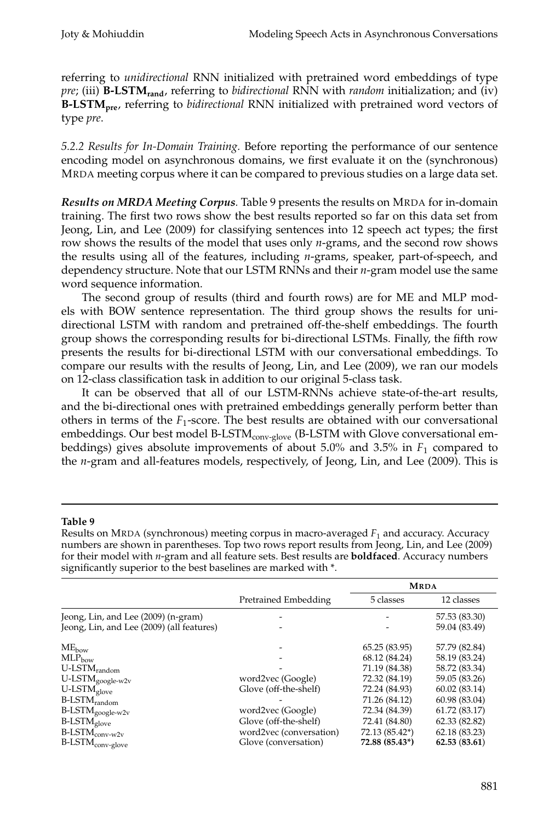referring to *unidirectional* RNN initialized with pretrained word embeddings of type *pre*; (iii) **B-LSTMrand**, referring to *bidirectional* RNN with *random* initialization; and (iv) **B-LSTMpre**, referring to *bidirectional* RNN initialized with pretrained word vectors of type *pre*.

<span id="page-22-0"></span>*5.2.2 Results for In-Domain Training.* Before reporting the performance of our sentence encoding model on asynchronous domains, we first evaluate it on the (synchronous) MRDA meeting corpus where it can be compared to previous studies on a large data set.

*Results on MRDA Meeting Corpus.* Table [9](#page-22-1) presents the results on MRDA for in-domain training. The first two rows show the best results reported so far on this data set from [Jeong, Lin, and Lee \(2009\)](#page-0-0) for classifying sentences into 12 speech act types; the first row shows the results of the model that uses only *n*-grams, and the second row shows the results using all of the features, including *n*-grams, speaker, part-of-speech, and dependency structure. Note that our LSTM RNNs and their *n*-gram model use the same word sequence information.

The second group of results (third and fourth rows) are for ME and MLP models with BOW sentence representation. The third group shows the results for unidirectional LSTM with random and pretrained off-the-shelf embeddings. The fourth group shows the corresponding results for bi-directional LSTMs. Finally, the fifth row presents the results for bi-directional LSTM with our conversational embeddings. To compare our results with the results of [Jeong, Lin, and Lee \(2009\)](#page-0-0), we ran our models on 12-class classification task in addition to our original 5-class task.

It can be observed that all of our LSTM-RNNs achieve state-of-the-art results, and the bi-directional ones with pretrained embeddings generally perform better than others in terms of the *F*<sup>1</sup> -score. The best results are obtained with our conversational embeddings. Our best model B-LSTM<sub>conv-glove</sub> (B-LSTM with Glove conversational embeddings) gives absolute improvements of about 5.0% and 3.5% in *F*<sup>1</sup> compared to the *n*-gram and all-features models, respectively, of [Jeong, Lin, and Lee \(2009\)](#page-0-0). This is

### <span id="page-22-1"></span>**Table 9**

Results on MRDA (synchronous) meeting corpus in macro-averaged *F*<sup>1</sup> and accuracy. Accuracy numbers are shown in parentheses. Top two rows report results from [Jeong, Lin, and Lee \(2009\)](#page-0-0) for their model with *n*-gram and all feature sets. Best results are **boldfaced**. Accuracy numbers significantly superior to the best baselines are marked with \*.

|                                           |                         | <b>MRDA</b>    |               |
|-------------------------------------------|-------------------------|----------------|---------------|
|                                           | Pretrained Embedding    | 5 classes      | 12 classes    |
| Jeong, Lin, and Lee (2009) (n-gram)       |                         |                | 57.53 (83.30) |
| Jeong, Lin, and Lee (2009) (all features) |                         |                | 59.04 (83.49) |
| $ME_{bow}$                                |                         | 65.25 (83.95)  | 57.79 (82.84) |
| $\text{MLP}_{\text{bow}}$                 |                         | 68.12 (84.24)  | 58.19 (83.24) |
| $U$ -LST $M_{\text{random}}$              |                         | 71.19 (84.38)  | 58.72 (83.34) |
| $\text{U-LSTM}_{\text{google-W2v}}$       | word2vec (Google)       | 72.32 (84.19)  | 59.05 (83.26) |
| $U$ -LST $M_{\rm{glove}}$                 | Glove (off-the-shelf)   | 72.24 (84.93)  | 60.02 (83.14) |
| $B$ -LST $M_{\rm random}$                 |                         | 71.26 (84.12)  | 60.98 (83.04) |
| $B$ -LST $M_{\rm{google-w2v}}$            | word2vec (Google)       | 72.34 (84.39)  | 61.72 (83.17) |
| B-LSTM <sub>glove</sub>                   | Glove (off-the-shelf)   | 72.41 (84.80)  | 62.33 (82.82) |
| $\text{B-LSTM}_{conv\text{-}w2v}$         | word2vec (conversation) | 72.13 (85.42*) | 62.18 (83.23) |
| $\text{B-LSTM}_{conv\text{-}glove}$       | Glove (conversation)    | 72.88 (85.43*) | 62.53(83.61)  |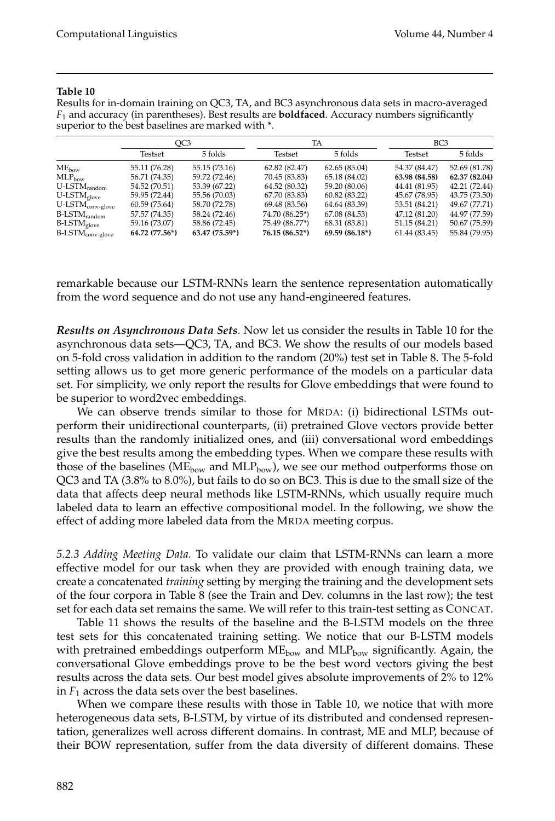<span id="page-23-1"></span>Results for in-domain training on QC3, TA, and BC3 asynchronous data sets in macro-averaged *F*<sup>1</sup> and accuracy (in parentheses). Best results are **boldfaced**. Accuracy numbers significantly superior to the best baselines are marked with \*.

|                                  | OC3            |                |                | TA             | BC <sub>3</sub> |               |
|----------------------------------|----------------|----------------|----------------|----------------|-----------------|---------------|
|                                  | Testset        | 5 folds        | Testset        | 5 folds        | Testset         | 5 folds       |
| $ME_{bow}$                       | 55.11 (76.28)  | 55.15 (73.16)  | 62.82 (82.47)  | 62.65(85.04)   | 54.37 (84.47)   | 52.69 (81.78) |
| $MLP_{bow}$                      | 56.71 (74.35)  | 59.72 (72.46)  | 70.45 (83.83)  | 65.18 (84.02)  | 63.98 (84.58)   | 62.37 (82.04) |
| $U$ -LST $M_{random}$            | 54.52 (70.51)  | 53.39 (67.22)  | 64.52 (80.32)  | 59.20 (80.06)  | 44.41 (81.95)   | 42.21 (72.44) |
| $U$ -LST $M_{\rm{glove}}$        | 59.95 (72.44)  | 55.56 (70.03)  | 67.70 (83.83)  | 60.82 (83.22)  | 45.67 (78.95)   | 43.75 (73.50) |
| $U$ -LST $M_{conv\text{-}glove}$ | 60.59 (75.64)  | 58.70 (72.78)  | 69.48 (83.56)  | 64.64 (83.39)  | 53.51 (84.21)   | 49.67 (77.71) |
| $B$ -LST $M_{random}$            | 57.57 (74.35)  | 58.24 (72.46)  | 74.70 (86.25*) | 67.08 (84.53)  | 47.12 (81.20)   | 44.97 (77.59) |
| $B$ -LSTM <sub>glove</sub>       | 59.16 (73.07)  | 58.86 (72.45)  | 75.49 (86.77*) | 68.31 (83.81)  | 51.15 (84.21)   | 50.67 (75.59) |
| $B$ -LSTM <sub>conv-glove</sub>  | 64.72 (77.56*) | 63.47 (75.59*) | 76.15 (86.52*) | 69.59 (86.18*) | 61.44 (83.45)   | 55.84 (79.95) |

remarkable because our LSTM-RNNs learn the sentence representation automatically from the word sequence and do not use any hand-engineered features.

*Results on Asynchronous Data Sets.* Now let us consider the results in Table [10](#page-23-1) for the asynchronous data sets—QC3, TA, and BC3. We show the results of our models based on 5-fold cross validation in addition to the random (20%) test set in Table [8.](#page-21-0) The 5-fold setting allows us to get more generic performance of the models on a particular data set. For simplicity, we only report the results for Glove embeddings that were found to be superior to word2vec embeddings.

We can observe trends similar to those for MRDA: (i) bidirectional LSTMs outperform their unidirectional counterparts, (ii) pretrained Glove vectors provide better results than the randomly initialized ones, and (iii) conversational word embeddings give the best results among the embedding types. When we compare these results with those of the baselines ( $ME_{bow}$  and  $MLP_{bow}$ ), we see our method outperforms those on QC3 and TA (3.8% to 8.0%), but fails to do so on BC3. This is due to the small size of the data that affects deep neural methods like LSTM-RNNs, which usually require much labeled data to learn an effective compositional model. In the following, we show the effect of adding more labeled data from the MRDA meeting corpus.

<span id="page-23-0"></span>*5.2.3 Adding Meeting Data.* To validate our claim that LSTM-RNNs can learn a more effective model for our task when they are provided with enough training data, we create a concatenated *training* setting by merging the training and the development sets of the four corpora in Table [8](#page-21-0) (see the Train and Dev. columns in the last row); the test set for each data set remains the same. We will refer to this train-test setting as CONCAT.

Table [11](#page-24-0) shows the results of the baseline and the B-LSTM models on the three test sets for this concatenated training setting. We notice that our B-LSTM models with pretrained embeddings outperform  $ME_{bow}$  and  $MLP_{bow}$  significantly. Again, the conversational Glove embeddings prove to be the best word vectors giving the best results across the data sets. Our best model gives absolute improvements of 2% to 12% in  $F_1$  across the data sets over the best baselines.

When we compare these results with those in Table [10,](#page-23-1) we notice that with more heterogeneous data sets, B-LSTM, by virtue of its distributed and condensed representation, generalizes well across different domains. In contrast, ME and MLP, because of their BOW representation, suffer from the data diversity of different domains. These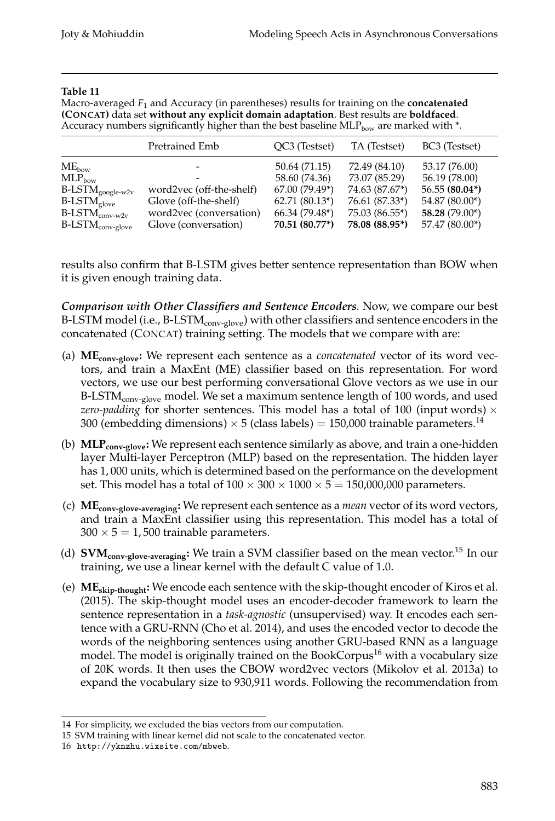<span id="page-24-0"></span>Macro-averaged *F*<sup>1</sup> and Accuracy (in parentheses) results for training on the **concatenated (CONCAT)** data set **without any explicit domain adaptation**. Best results are **boldfaced**. Accuracy numbers significantly higher than the best baseline  $MLP_{bow}$  are marked with  $*$ .

|                                                                   | Pretrained Emb                                  | OC3 (Testset)                    | TA (Testset)                     | BC3 (Testset)                    |
|-------------------------------------------------------------------|-------------------------------------------------|----------------------------------|----------------------------------|----------------------------------|
| $ME_{\text{how}}$                                                 |                                                 | 50.64 (71.15)                    | 72.49 (84.10)                    | 53.17 (76.00)                    |
| $MLP_{bow}$                                                       |                                                 | 58.60 (74.36)                    | 73.07 (85.29)                    | 56.19 (78.00)                    |
| $B$ -LST $M_{\text{google-w2v}}$                                  | word2vec (off-the-shelf)                        | 67.00 (79.49*)                   | 74.63 (87.67*)                   | $56.55(80.04*)$                  |
| $B$ -LST $M_{\text{glove}}$                                       | Glove (off-the-shelf)                           | $62.71(80.13*)$                  | 76.61 (87.33*)                   | 54.87 (80.00*)                   |
| $B$ -LSTM <sub>conv-w2v</sub><br>$B$ -LST $M_{conv\text{-}glove}$ | word2vec (conversation)<br>Glove (conversation) | 66.34 (79.48*)<br>70.51 (80.77*) | 75.03 (86.55*)<br>78.08 (88.95*) | 58.28 (79.00*)<br>57.47 (80.00*) |

results also confirm that B-LSTM gives better sentence representation than BOW when it is given enough training data.

*Comparison with Other Classifiers and Sentence Encoders.* Now, we compare our best B-LSTM model (i.e., B-LSTM<sub>conv-glove</sub>) with other classifiers and sentence encoders in the concatenated (CONCAT) training setting. The models that we compare with are:

- (a) **MEconv-glove:** We represent each sentence as a *concatenated* vector of its word vectors, and train a MaxEnt (ME) classifier based on this representation. For word vectors, we use our best performing conversational Glove vectors as we use in our B-LSTM<sub>conv-glove</sub> model. We set a maximum sentence length of 100 words, and used *zero-padding* for shorter sentences. This model has a total of 100 (input words)  $\times$ 300 (embedding dimensions)  $\times$  5 (class labels) = 150,000 trainable parameters.<sup>[14](#page-24-1)</sup>
- (b) **MLPconv-glove:** We represent each sentence similarly as above, and train a one-hidden layer Multi-layer Perceptron (MLP) based on the representation. The hidden layer has 1, 000 units, which is determined based on the performance on the development set. This model has a total of  $100 \times 300 \times 1000 \times 5 = 150,000,000$  parameters.
- (c) **MEconv-glove-averaging:** We represent each sentence as a *mean* vector of its word vectors, and train a MaxEnt classifier using this representation. This model has a total of  $300 \times 5 = 1,500$  trainable parameters.
- (d) **SVMconv-glove-averaging:** We train a SVM classifier based on the mean vector.[15](#page-24-2) In our training, we use a linear kernel with the default C value of 1.0.
- (e) **MEskip-thought:** We encode each sentence with the skip-thought encoder of [Kiros et al.](#page-0-0) [\(2015\)](#page-0-0). The skip-thought model uses an encoder-decoder framework to learn the sentence representation in a *task-agnostic* (unsupervised) way. It encodes each sentence with a GRU-RNN [\(Cho et al. 2014\)](#page-0-0), and uses the encoded vector to decode the words of the neighboring sentences using another GRU-based RNN as a language model. The model is originally trained on the BookCorpus<sup>[16](#page-24-3)</sup> with a vocabulary size of 20K words. It then uses the CBOW word2vec vectors [\(Mikolov et al. 2013a\)](#page-0-0) to expand the vocabulary size to 930,911 words. Following the recommendation from

<span id="page-24-1"></span><sup>14</sup> For simplicity, we excluded the bias vectors from our computation.

<span id="page-24-2"></span><sup>15</sup> SVM training with linear kernel did not scale to the concatenated vector.

<span id="page-24-3"></span><sup>16</sup> <http://yknzhu.wixsite.com/mbweb>.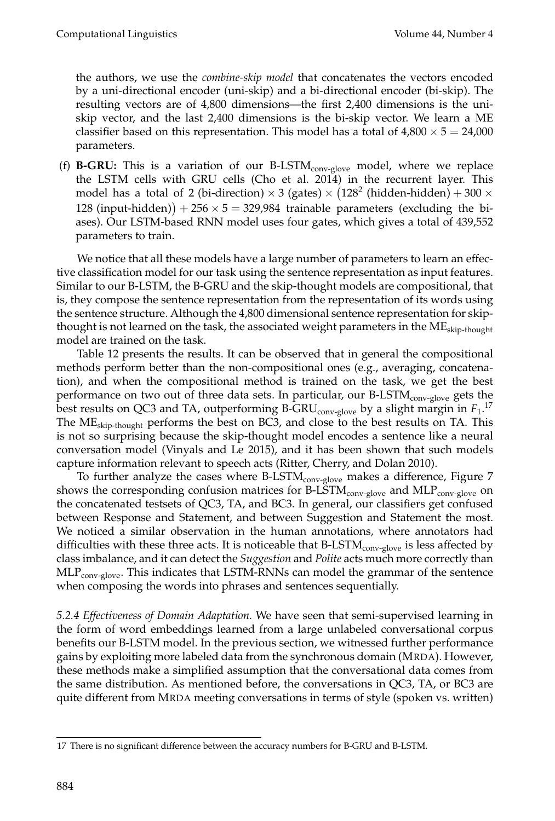the authors, we use the *combine-skip model* that concatenates the vectors encoded by a uni-directional encoder (uni-skip) and a bi-directional encoder (bi-skip). The resulting vectors are of 4,800 dimensions—the first 2,400 dimensions is the uniskip vector, and the last 2,400 dimensions is the bi-skip vector. We learn a ME classifier based on this representation. This model has a total of  $4,800 \times 5 = 24,000$ parameters.

(f) **B-GRU:** This is a variation of our B-LSTM<sub>conv-glove</sub> model, where we replace the LSTM cells with GRU cells [\(Cho et al. 2014\)](#page-0-0) in the recurrent layer. This model has a total of 2 (bi-direction)  $\times$  3 (gates)  $\times$  (128<sup>2</sup> (hidden-hidden) + 300  $\times$ 128 (input-hidden) +  $256 \times 5 = 329,984$  trainable parameters (excluding the biases). Our LSTM-based RNN model uses four gates, which gives a total of 439,552 parameters to train.

We notice that all these models have a large number of parameters to learn an effective classification model for our task using the sentence representation as input features. Similar to our B-LSTM, the B-GRU and the skip-thought models are compositional, that is, they compose the sentence representation from the representation of its words using the sentence structure. Although the 4,800 dimensional sentence representation for skipthought is not learned on the task, the associated weight parameters in the ME<sub>skip-thought</sub> model are trained on the task.

Table [12](#page-26-0) presents the results. It can be observed that in general the compositional methods perform better than the non-compositional ones (e.g., averaging, concatenation), and when the compositional method is trained on the task, we get the best performance on two out of three data sets. In particular, our B-LSTM<sub>conv-glove</sub> gets the best results on QC3 and TA, outperforming B-GRU $_{\rm conv\text{-}glove}$  by a slight margin in  $F_1.^{17}$  $F_1.^{17}$  $F_1.^{17}$ The MEskip-thought performs the best on BC3, and close to the best results on TA. This is not so surprising because the skip-thought model encodes a sentence like a neural conversation model [\(Vinyals and Le 2015\)](#page-0-0), and it has been shown that such models capture information relevant to speech acts [\(Ritter, Cherry, and Dolan 2010\)](#page-0-0).

To further analyze the cases where  $B$ -LST $M_{conv\text{-}glove}$  makes a difference, Figure [7](#page-26-1) shows the corresponding confusion matrices for  $B\text{-LSTM}_{conv\text{-}glove}$  and  $MLP_{conv\text{-}glove}$  on the concatenated testsets of QC3, TA, and BC3. In general, our classifiers get confused between Response and Statement, and between Suggestion and Statement the most. We noticed a similar observation in the human annotations, where annotators had difficulties with these three acts. It is noticeable that  $B\text{-LSTM}_{conv\text{-}close}$  is less affected by class imbalance, and it can detect the *Suggestion* and *Polite* acts much more correctly than MLP<sub>conv-glove</sub>. This indicates that LSTM-RNNs can model the grammar of the sentence when composing the words into phrases and sentences sequentially.

<span id="page-25-0"></span>*5.2.4 Effectiveness of Domain Adaptation.* We have seen that semi-supervised learning in the form of word embeddings learned from a large unlabeled conversational corpus benefits our B-LSTM model. In the previous section, we witnessed further performance gains by exploiting more labeled data from the synchronous domain (MRDA). However, these methods make a simplified assumption that the conversational data comes from the same distribution. As mentioned before, the conversations in QC3, TA, or BC3 are quite different from MRDA meeting conversations in terms of style (spoken vs. written)

<span id="page-25-1"></span><sup>17</sup> There is no significant difference between the accuracy numbers for B-GRU and B-LSTM.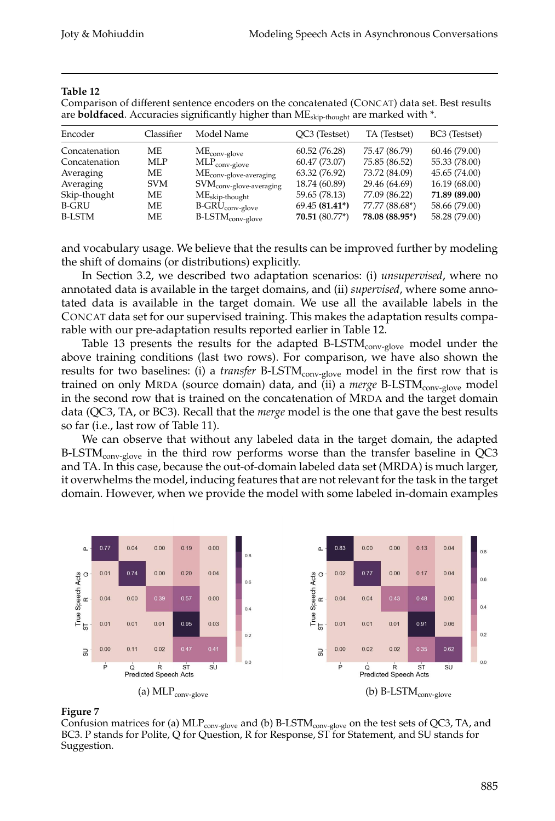<span id="page-26-0"></span>Comparison of different sentence encoders on the concatenated (CONCAT) data set. Best results are **boldfaced**. Accuracies significantly higher than ME<sub>skip-thought</sub> are marked with \*.

| Encoder       | Classifier | Model Name                                 | QC3 (Testset)   | TA (Testset)   | BC3 (Testset) |
|---------------|------------|--------------------------------------------|-----------------|----------------|---------------|
| Concatenation | ME.        | ME <sub>conv-glove</sub>                   | 60.52 (76.28)   | 75.47 (86.79)  | 60.46 (79.00) |
| Concatenation | MLP        | $MLP_{conv\text{-}glove}$                  | 60.47 (73.07)   | 75.85 (86.52)  | 55.33 (78.00) |
| Averaging     | ME.        | ME <sub>conv-glove-averaging</sub>         | 63.32 (76.92)   | 73.72 (84.09)  | 45.65 (74.00) |
| Averaging     | <b>SVM</b> | $\text{SVM}_{\text{conv-glove-averaging}}$ | 18.74 (60.89)   | 29.46 (64.69)  | 16.19(68.00)  |
| Skip-thought  | ME.        | $MEskip-thought$                           | 59.65 (78.13)   | 77.09 (86.22)  | 71.89 (89.00) |
| <b>B-GRU</b>  | ME.        | B-GRU <sub>conv-glove</sub>                | 69.45 (81.41*)  | 77.77 (88.68*) | 58.66 (79.00) |
| <b>B-LSTM</b> | ME.        | B-LSTM <sub>conv-glove</sub>               | $70.51(80.77*)$ | 78.08 (88.95*) | 58.28 (79.00) |

and vocabulary usage. We believe that the results can be improved further by modeling the shift of domains (or distributions) explicitly.

In Section [3.2,](#page-9-2) we described two adaptation scenarios: (i) *unsupervised*, where no annotated data is available in the target domains, and (ii) *supervised*, where some annotated data is available in the target domain. We use all the available labels in the CONCAT data set for our supervised training. This makes the adaptation results comparable with our pre-adaptation results reported earlier in Table [12.](#page-26-0)

Table [13](#page-27-1) presents the results for the adapted B-LST $M_{conv-glove}$  model under the above training conditions (last two rows). For comparison, we have also shown the results for two baselines: (i) a *transfer* B-LSTM<sub>conv-glove</sub> model in the first row that is trained on only MRDA (source domain) data, and (ii) a *merge* B-LSTM<sub>conv-glove</sub> model in the second row that is trained on the concatenation of MRDA and the target domain data (QC3, TA, or BC3). Recall that the *merge* model is the one that gave the best results so far (i.e., last row of Table [11\)](#page-24-0).

We can observe that without any labeled data in the target domain, the adapted B-LSTM<sub>conv-glove</sub> in the third row performs worse than the transfer baseline in QC3 and TA. In this case, because the out-of-domain labeled data set (MRDA) is much larger, it overwhelms the model, inducing features that are not relevant for the task in the target domain. However, when we provide the model with some labeled in-domain examples

<span id="page-26-1"></span>

#### **Figure 7**

Confusion matrices for (a)  $MLP_{conv-glove}$  and (b) B-LST $M_{conv-glove}$  on the test sets of QC3, TA, and BC3. P stands for Polite, Q for Question, R for Response, ST for Statement, and SU stands for Suggestion.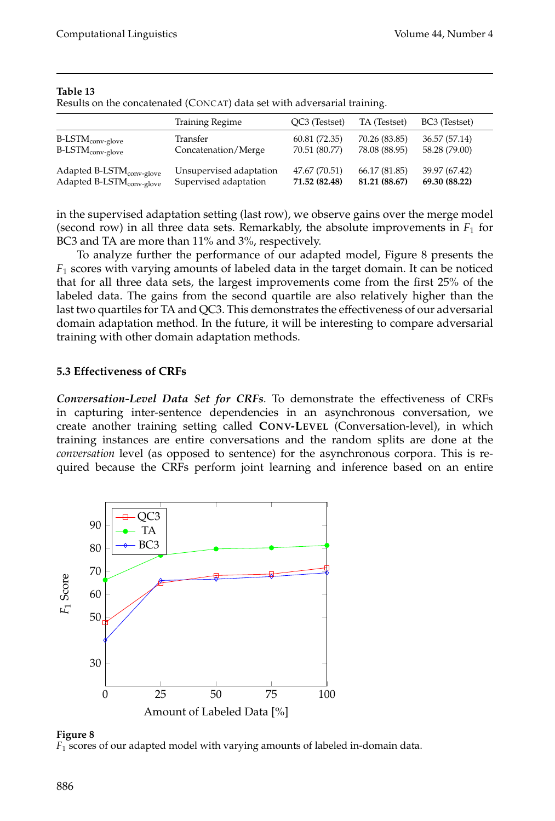<span id="page-27-1"></span>Results on the concatenated (CONCAT) data set with adversarial training.

|                                      | <b>Training Regime</b>  | OC3 (Testset) | TA (Testset)  | BC3 (Testset) |
|--------------------------------------|-------------------------|---------------|---------------|---------------|
| B-LSTM <sub>conv-glove</sub>         | Transfer                | 60.81(72.35)  | 70.26 (83.85) | 36.57 (57.14) |
| $B$ -LSTM <sub>conv-glove</sub>      | Concatenation/Merge     | 70.51 (80.77) | 78.08 (88.95) | 58.28 (79.00) |
| Adapted B-LSTM <sub>conv-glove</sub> | Unsupervised adaptation | 47.67 (70.51) | 66.17 (81.85) | 39.97 (67.42) |
| Adapted B-LSTM <sub>conv-glove</sub> | Supervised adaptation   | 71.52 (82.48) | 81.21 (88.67) | 69.30 (88.22) |

in the supervised adaptation setting (last row), we observe gains over the merge model (second row) in all three data sets. Remarkably, the absolute improvements in  $F_1$  for BC3 and TA are more than 11% and 3%, respectively.

To analyze further the performance of our adapted model, Figure [8](#page-27-2) presents the *F*<sup>1</sup> scores with varying amounts of labeled data in the target domain. It can be noticed that for all three data sets, the largest improvements come from the first 25% of the labeled data. The gains from the second quartile are also relatively higher than the last two quartiles for TA and QC3. This demonstrates the effectiveness of our adversarial domain adaptation method. In the future, it will be interesting to compare adversarial training with other domain adaptation methods.

### <span id="page-27-0"></span>**5.3 Effectiveness of CRFs**

*Conversation-Level Data Set for CRFs.* To demonstrate the effectiveness of CRFs in capturing inter-sentence dependencies in an asynchronous conversation, we create another training setting called **CONV-LEVEL** (Conversation-level), in which training instances are entire conversations and the random splits are done at the *conversation* level (as opposed to sentence) for the asynchronous corpora. This is required because the CRFs perform joint learning and inference based on an entire

<span id="page-27-2"></span>

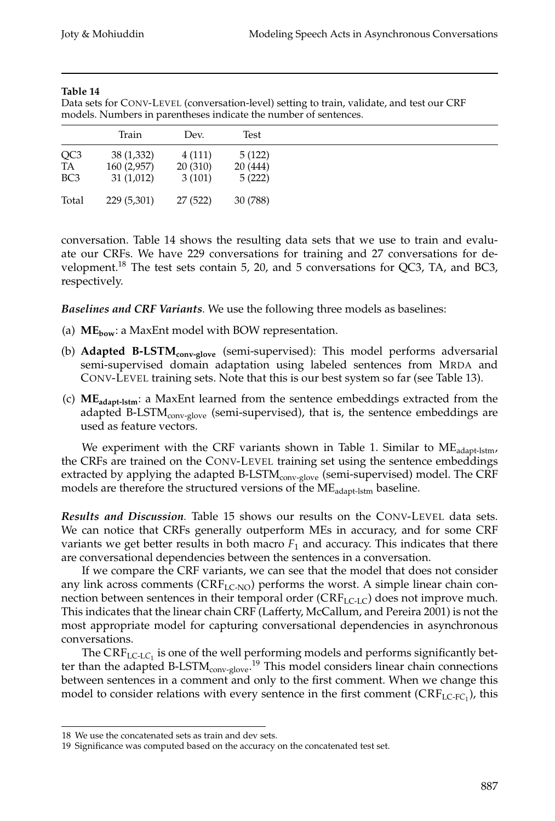<span id="page-28-0"></span>Data sets for CONV-LEVEL (conversation-level) setting to train, validate, and test our CRF models. Numbers in parentheses indicate the number of sentences.

|                                          | Train                                  | Dev.                         | Test                         |  |
|------------------------------------------|----------------------------------------|------------------------------|------------------------------|--|
| QC <sub>3</sub><br>TA<br>BC <sub>3</sub> | 38 (1,332)<br>160(2,957)<br>31 (1,012) | 4 (111)<br>20(310)<br>3(101) | 5(122)<br>20 (444)<br>5(222) |  |
| Total                                    | 229 (5,301)                            | 27 (522)                     | 30 (788)                     |  |

conversation. Table [14](#page-28-0) shows the resulting data sets that we use to train and evaluate our CRFs. We have 229 conversations for training and 27 conversations for development.[18](#page-28-1) The test sets contain 5, 20, and 5 conversations for QC3, TA, and BC3, respectively.

*Baselines and CRF Variants.* We use the following three models as baselines:

- (a) **MEbow**: a MaxEnt model with BOW representation.
- (b) **Adapted B-LSTMconv-glove** (semi-supervised): This model performs adversarial semi-supervised domain adaptation using labeled sentences from MRDA and CONV-LEVEL training sets. Note that this is our best system so far (see Table [13\)](#page-27-1).
- (c) **MEadapt-lstm**: a MaxEnt learned from the sentence embeddings extracted from the adapted B-LST $M_{conv\text{-}glove}$  (semi-supervised), that is, the sentence embeddings are used as feature vectors.

We experiment with the CRF variants shown in Table [1.](#page-15-1) Similar to  $ME_{adapt\text{-1stm}}$ , the CRFs are trained on the CONV-LEVEL training set using the sentence embeddings extracted by applying the adapted B-LSTM<sub>conv-glove</sub> (semi-supervised) model. The CRF models are therefore the structured versions of the  $ME_{adapt-lstm}$  baseline.

*Results and Discussion.* Table [15](#page-29-1) shows our results on the CONV-LEVEL data sets. We can notice that CRFs generally outperform MEs in accuracy, and for some CRF variants we get better results in both macro  $F_1$  and accuracy. This indicates that there are conversational dependencies between the sentences in a conversation.

If we compare the CRF variants, we can see that the model that does not consider any link across comments ( $CRF_{LC-NO}$ ) performs the worst. A simple linear chain connection between sentences in their temporal order  $(CRF_{LC-LC})$  does not improve much. This indicates that the linear chain CRF [\(Lafferty, McCallum, and Pereira 2001\)](#page-0-0) is not the most appropriate model for capturing conversational dependencies in asynchronous conversations.

The  $\text{CRF}_{\text{LC-LC}_1}$  is one of the well performing models and performs significantly bet-ter than the adapted B-LSTM<sub>conv-glove</sub>.<sup>[19](#page-28-2)</sup> This model considers linear chain connections between sentences in a comment and only to the first comment. When we change this model to consider relations with every sentence in the first comment ( $\mathrm{CRF_{LC\text{-}FC}_1}$ ), this

<span id="page-28-1"></span><sup>18</sup> We use the concatenated sets as train and dev sets.

<span id="page-28-2"></span><sup>19</sup> Significance was computed based on the accuracy on the concatenated test set.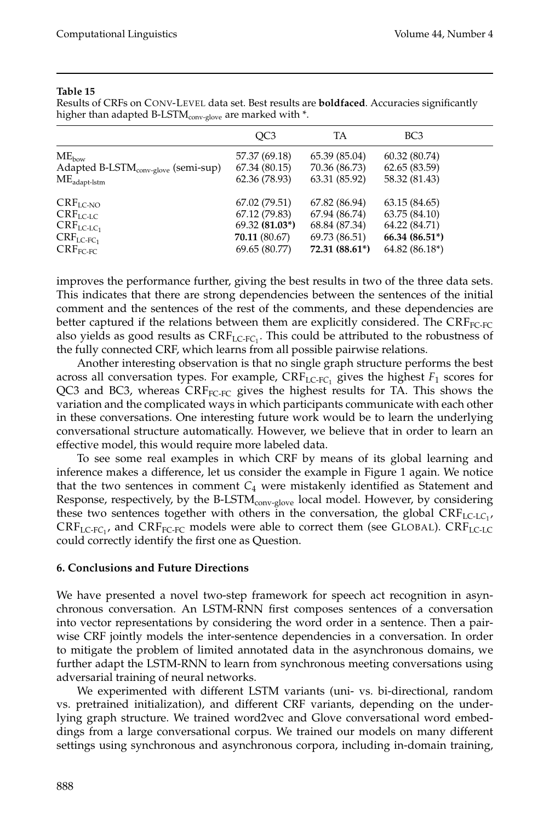<span id="page-29-1"></span>Results of CRFs on CONV-LEVEL data set. Best results are **boldfaced**. Accuracies significantly higher than adapted B-LSTM $_{\rm conv\text{-}glove}$  are marked with  $^*.$ 

|                                                 | OC <sub>3</sub> | TA             | BC <sub>3</sub>  |
|-------------------------------------------------|-----------------|----------------|------------------|
| $ME_{bow}$                                      | 57.37 (69.18)   | 65.39 (85.04)  | 60.32 (80.74)    |
| Adapted B-LSTM <sub>conv-glove</sub> (semi-sup) | 67.34 (80.15)   | 70.36 (86.73)  | 62.65(83.59)     |
| $ME_{adapt-lstm}$                               | 62.36 (78.93)   | 63.31 (85.92)  | 58.32 (81.43)    |
| $\mathrm{CRF}_{\mathrm{LC-NO}}$                 | 67.02 (79.51)   | 67.82 (86.94)  | 63.15 (84.65)    |
| $CRF_{LC-LC}$                                   | 67.12 (79.83)   | 67.94 (86.74)  | 63.75 (84.10)    |
| $CRF_{LC\text{-}LC_1}$                          | $69.32(81.03*)$ | 68.84 (87.34)  | 64.22 (84.71)    |
| $CRF_{LC\text{-}FC_1}$                          | 70.11 (80.67)   | 69.73 (86.51)  | $66.34(86.51*)$  |
| $\mathrm{CRF}_{\mathrm{FC\text{-}FC}}$          | 69.65 (80.77)   | 72.31 (88.61*) | $64.82(86.18^*)$ |

improves the performance further, giving the best results in two of the three data sets. This indicates that there are strong dependencies between the sentences of the initial comment and the sentences of the rest of the comments, and these dependencies are better captured if the relations between them are explicitly considered. The  $CRF_{FC-FC}$ also yields as good results as  $\mathrm{CRF}_{\mathrm{LC}\text{-FC}_1}.$  This could be attributed to the robustness of the fully connected CRF, which learns from all possible pairwise relations.

Another interesting observation is that no single graph structure performs the best across all conversation types. For example, CRFLC-F*C*<sup>1</sup> gives the highest *F*<sup>1</sup> scores for QC3 and BC3, whereas  $CRF_{FC-FC}$  gives the highest results for TA. This shows the variation and the complicated ways in which participants communicate with each other in these conversations. One interesting future work would be to learn the underlying conversational structure automatically. However, we believe that in order to learn an effective model, this would require more labeled data.

To see some real examples in which CRF by means of its global learning and inference makes a difference, let us consider the example in Figure [1](#page-2-0) again. We notice that the two sentences in comment *C*<sup>4</sup> were mistakenly identified as Statement and Response, respectively, by the B-LST $M_{conv\text{-}glove}$  local model. However, by considering these two sentences together with others in the conversation, the global  $\mathrm{CRF}_{\mathrm{LC}\text{-LC}_1}$ ,  $CRF_{LC\text{-}FC_1}$ , and  $CRF_{FC\text{-}FC}$  models were able to correct them (see GLOBAL).  $CRF_{LC\text{-}LC}$ could correctly identify the first one as Question.

### <span id="page-29-0"></span>**6. Conclusions and Future Directions**

We have presented a novel two-step framework for speech act recognition in asynchronous conversation. An LSTM-RNN first composes sentences of a conversation into vector representations by considering the word order in a sentence. Then a pairwise CRF jointly models the inter-sentence dependencies in a conversation. In order to mitigate the problem of limited annotated data in the asynchronous domains, we further adapt the LSTM-RNN to learn from synchronous meeting conversations using adversarial training of neural networks.

We experimented with different LSTM variants (uni- vs. bi-directional, random vs. pretrained initialization), and different CRF variants, depending on the underlying graph structure. We trained word2vec and Glove conversational word embeddings from a large conversational corpus. We trained our models on many different settings using synchronous and asynchronous corpora, including in-domain training,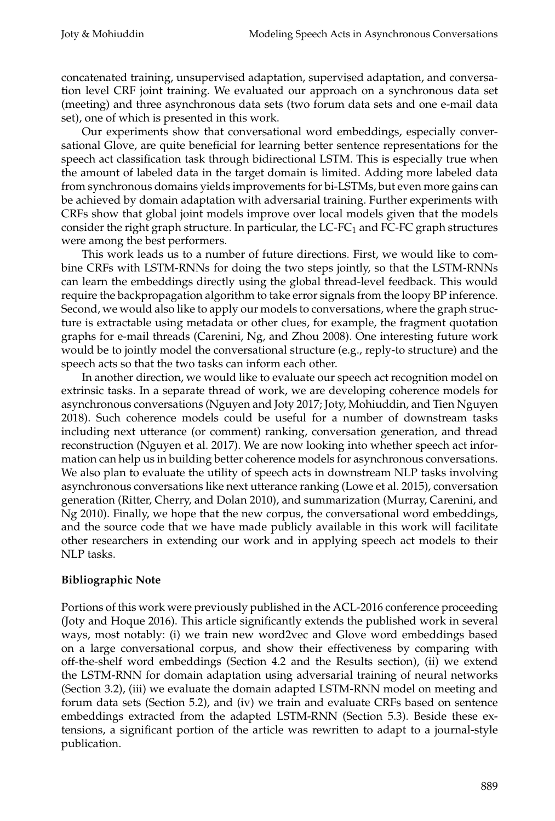concatenated training, unsupervised adaptation, supervised adaptation, and conversation level CRF joint training. We evaluated our approach on a synchronous data set (meeting) and three asynchronous data sets (two forum data sets and one e-mail data set), one of which is presented in this work.

Our experiments show that conversational word embeddings, especially conversational Glove, are quite beneficial for learning better sentence representations for the speech act classification task through bidirectional LSTM. This is especially true when the amount of labeled data in the target domain is limited. Adding more labeled data from synchronous domains yields improvements for bi-LSTMs, but even more gains can be achieved by domain adaptation with adversarial training. Further experiments with CRFs show that global joint models improve over local models given that the models consider the right graph structure. In particular, the LC-FC<sub>1</sub> and FC-FC graph structures were among the best performers.

This work leads us to a number of future directions. First, we would like to combine CRFs with LSTM-RNNs for doing the two steps jointly, so that the LSTM-RNNs can learn the embeddings directly using the global thread-level feedback. This would require the backpropagation algorithm to take error signals from the loopy BP inference. Second, we would also like to apply our models to conversations, where the graph structure is extractable using metadata or other clues, for example, the fragment quotation graphs for e-mail threads [\(Carenini, Ng, and Zhou 2008\)](#page-0-0). One interesting future work would be to jointly model the conversational structure (e.g., reply-to structure) and the speech acts so that the two tasks can inform each other.

In another direction, we would like to evaluate our speech act recognition model on extrinsic tasks. In a separate thread of work, we are developing coherence models for asynchronous conversations [\(Nguyen and Joty 2017; Joty, Mohiuddin, and Tien Nguyen](#page-0-0) [2018\)](#page-0-0). Such coherence models could be useful for a number of downstream tasks including next utterance (or comment) ranking, conversation generation, and thread reconstruction [\(Nguyen et al. 2017\)](#page-0-0). We are now looking into whether speech act information can help us in building better coherence models for asynchronous conversations. We also plan to evaluate the utility of speech acts in downstream NLP tasks involving asynchronous conversations like next utterance ranking [\(Lowe et al. 2015\)](#page-0-0), conversation generation [\(Ritter, Cherry, and Dolan 2010\)](#page-0-0), and summarization [\(Murray, Carenini, and](#page-0-0) [Ng 2010\)](#page-0-0). Finally, we hope that the new corpus, the conversational word embeddings, and the source code that we have made publicly available in this work will facilitate other researchers in extending our work and in applying speech act models to their NLP tasks.

# **Bibliographic Note**

Portions of this work were previously published in the ACL-2016 conference proceeding [\(Joty and Hoque 2016\)](#page-0-0). This article significantly extends the published work in several ways, most notably: (i) we train new word2vec and Glove word embeddings based on a large conversational corpus, and show their effectiveness by comparing with off-the-shelf word embeddings (Section [4.2](#page-19-0) and the Results section), (ii) we extend the LSTM-RNN for domain adaptation using adversarial training of neural networks (Section [3.2\)](#page-9-2), (iii) we evaluate the domain adapted LSTM-RNN model on meeting and forum data sets (Section [5.2\)](#page-21-4), and (iv) we train and evaluate CRFs based on sentence embeddings extracted from the adapted LSTM-RNN (Section [5.3\)](#page-27-0). Beside these extensions, a significant portion of the article was rewritten to adapt to a journal-style publication.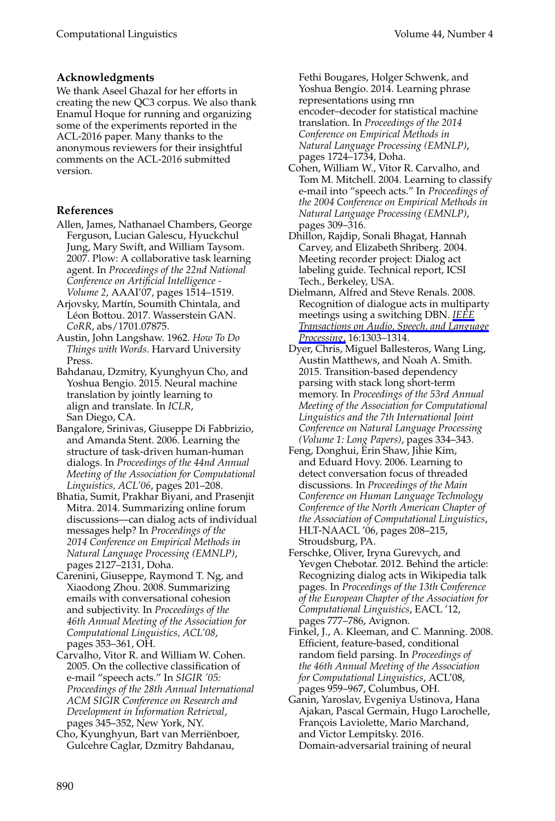# **Acknowledgments**

We thank Aseel Ghazal for her efforts in creating the new QC3 corpus. We also thank Enamul Hoque for running and organizing some of the experiments reported in the ACL-2016 paper. Many thanks to the anonymous reviewers for their insightful comments on the ACL-2016 submitted version.

# **References**

- Allen, James, Nathanael Chambers, George Ferguson, Lucian Galescu, Hyuckchul Jung, Mary Swift, and William Taysom. 2007. Plow: A collaborative task learning agent. In *Proceedings of the 22nd National Conference on Artificial Intelligence - Volume 2*, AAAI'07, pages 1514–1519.
- Arjovsky, Martín, Soumith Chintala, and Léon Bottou. 2017. Wasserstein GAN. *CoRR*, abs/1701.07875.
- Austin, John Langshaw. 1962. *How To Do Things with Words*. Harvard University Press.
- Bahdanau, Dzmitry, Kyunghyun Cho, and Yoshua Bengio. 2015. Neural machine translation by jointly learning to align and translate. In *ICLR*, San Diego, CA.
- Bangalore, Srinivas, Giuseppe Di Fabbrizio, and Amanda Stent. 2006. Learning the structure of task-driven human-human dialogs. In *Proceedings of the 44nd Annual Meeting of the Association for Computational Linguistics, ACL'06*, pages 201–208.
- Bhatia, Sumit, Prakhar Biyani, and Prasenjit Mitra. 2014. Summarizing online forum discussions—can dialog acts of individual messages help? In *Proceedings of the 2014 Conference on Empirical Methods in Natural Language Processing (EMNLP)*, pages 2127–2131, Doha.
- Carenini, Giuseppe, Raymond T. Ng, and Xiaodong Zhou. 2008. Summarizing emails with conversational cohesion and subjectivity. In *Proceedings of the 46th Annual Meeting of the Association for Computational Linguistics, ACL'08*, pages 353–361, OH.
- Carvalho, Vitor R. and William W. Cohen. 2005. On the collective classification of e-mail "speech acts." In *SIGIR '05: Proceedings of the 28th Annual International ACM SIGIR Conference on Research and Development in Information Retrieval*, pages 345–352, New York, NY.
- Cho, Kyunghyun, Bart van Merriënboer, Gulcehre Caglar, Dzmitry Bahdanau,

Fethi Bougares, Holger Schwenk, and Yoshua Bengio. 2014. Learning phrase representations using rnn encoder–decoder for statistical machine translation. In *Proceedings of the 2014 Conference on Empirical Methods in Natural Language Processing (EMNLP)*, pages 1724–1734, Doha.

- Cohen, William W., Vitor R. Carvalho, and Tom M. Mitchell. 2004. Learning to classify e-mail into "speech acts." In *Proceedings of the 2004 Conference on Empirical Methods in Natural Language Processing (EMNLP)*, pages 309–316.
- Dhillon, Rajdip, Sonali Bhagat, Hannah Carvey, and Elizabeth Shriberg. 2004. Meeting recorder project: Dialog act labeling guide. Technical report, ICSI Tech., Berkeley, USA.
- Dielmann, Alfred and Steve Renals. 2008. Recognition of dialogue acts in multiparty meetings using a switching DBN. *[IEEE](https://www.mitpressjournals.org/action/showLinks?doi=10.1162%2Fcoli_a_00339&crossref=10.1109%2FTASL.2008.922463&citationId=p_12) [Transactions on Audio, Speech, and Language](https://www.mitpressjournals.org/action/showLinks?doi=10.1162%2Fcoli_a_00339&crossref=10.1109%2FTASL.2008.922463&citationId=p_12) [Processing](https://www.mitpressjournals.org/action/showLinks?doi=10.1162%2Fcoli_a_00339&crossref=10.1109%2FTASL.2008.922463&citationId=p_12)*, 16:1303–1314.
- Dyer, Chris, Miguel Ballesteros, Wang Ling, Austin Matthews, and Noah A. Smith. 2015. Transition-based dependency parsing with stack long short-term memory. In *Proceedings of the 53rd Annual Meeting of the Association for Computational Linguistics and the 7th International Joint Conference on Natural Language Processing (Volume 1: Long Papers)*, pages 334–343.
- Feng, Donghui, Erin Shaw, Jihie Kim, and Eduard Hovy. 2006. Learning to detect conversation focus of threaded discussions. In *Proceedings of the Main Conference on Human Language Technology Conference of the North American Chapter of the Association of Computational Linguistics*, HLT-NAACL '06, pages 208–215, Stroudsburg, PA.
- Ferschke, Oliver, Iryna Gurevych, and Yevgen Chebotar. 2012. Behind the article: Recognizing dialog acts in Wikipedia talk pages. In *Proceedings of the 13th Conference of the European Chapter of the Association for Computational Linguistics*, EACL '12, pages 777–786, Avignon.
- Finkel, J., A. Kleeman, and C. Manning. 2008. Efficient, feature-based, conditional random field parsing. In *Proceedings of the 46th Annual Meeting of the Association for Computational Linguistics*, ACL'08, pages 959–967, Columbus, OH.
- Ganin, Yaroslav, Evgeniya Ustinova, Hana Ajakan, Pascal Germain, Hugo Larochelle, François Laviolette, Mario Marchand, and Victor Lempitsky. 2016. Domain-adversarial training of neural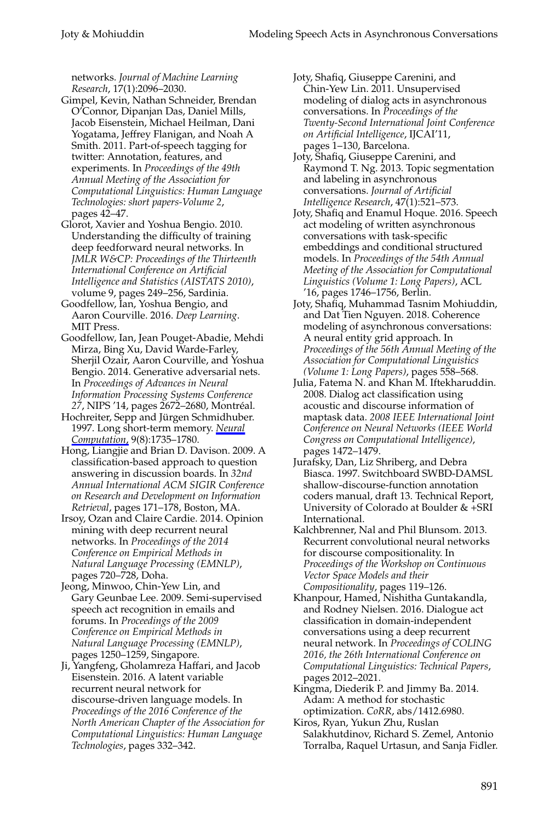networks. *Journal of Machine Learning Research*, 17(1):2096–2030.

- Gimpel, Kevin, Nathan Schneider, Brendan O'Connor, Dipanjan Das, Daniel Mills, Jacob Eisenstein, Michael Heilman, Dani Yogatama, Jeffrey Flanigan, and Noah A Smith. 2011. Part-of-speech tagging for twitter: Annotation, features, and experiments. In *Proceedings of the 49th Annual Meeting of the Association for Computational Linguistics: Human Language Technologies: short papers-Volume 2*, pages 42–47.
- Glorot, Xavier and Yoshua Bengio. 2010. Understanding the difficulty of training deep feedforward neural networks. In *JMLR W&CP: Proceedings of the Thirteenth International Conference on Artificial Intelligence and Statistics (AISTATS 2010)*, volume 9, pages 249–256, Sardinia.
- Goodfellow, Ian, Yoshua Bengio, and Aaron Courville. 2016. *Deep Learning*. MIT Press.
- Goodfellow, Ian, Jean Pouget-Abadie, Mehdi Mirza, Bing Xu, David Warde-Farley, Sherjil Ozair, Aaron Courville, and Yoshua Bengio. 2014. Generative adversarial nets. In *Proceedings of Advances in Neural Information Processing Systems Conference 27*, NIPS '14, pages 2672–2680, Montréal.
- Hochreiter, Sepp and Jürgen Schmidhuber. 1997. Long short-term memory. *[Neural](https://www.mitpressjournals.org/action/showLinks?doi=10.1162%2Fcoli_a_00339&system=10.1162%2Fneco.1997.9.8.1735&citationId=p_22) [Computation](https://www.mitpressjournals.org/action/showLinks?doi=10.1162%2Fcoli_a_00339&system=10.1162%2Fneco.1997.9.8.1735&citationId=p_22)*, 9(8):1735–1780.
- Hong, Liangjie and Brian D. Davison. 2009. A classification-based approach to question answering in discussion boards. In *32nd Annual International ACM SIGIR Conference on Research and Development on Information Retrieval*, pages 171–178, Boston, MA.
- Irsoy, Ozan and Claire Cardie. 2014. Opinion mining with deep recurrent neural networks. In *Proceedings of the 2014 Conference on Empirical Methods in Natural Language Processing (EMNLP)*, pages 720–728, Doha.
- Jeong, Minwoo, Chin-Yew Lin, and Gary Geunbae Lee. 2009. Semi-supervised speech act recognition in emails and forums. In *Proceedings of the 2009 Conference on Empirical Methods in Natural Language Processing (EMNLP)*, pages 1250–1259, Singapore.
- Ji, Yangfeng, Gholamreza Haffari, and Jacob Eisenstein. 2016. A latent variable recurrent neural network for discourse-driven language models. In *Proceedings of the 2016 Conference of the North American Chapter of the Association for Computational Linguistics: Human Language Technologies*, pages 332–342.
- Joty, Shafiq, Giuseppe Carenini, and Chin-Yew Lin. 2011. Unsupervised modeling of dialog acts in asynchronous conversations. In *Proceedings of the Twenty-Second International Joint Conference on Artificial Intelligence*, IJCAI'11, pages 1–130, Barcelona.
- Joty, Shafiq, Giuseppe Carenini, and Raymond T. Ng. 2013. Topic segmentation and labeling in asynchronous conversations. *Journal of Artificial Intelligence Research*, 47(1):521–573.
- Joty, Shafiq and Enamul Hoque. 2016. Speech act modeling of written asynchronous conversations with task-specific embeddings and conditional structured models. In *Proceedings of the 54th Annual Meeting of the Association for Computational Linguistics (Volume 1: Long Papers)*, ACL '16, pages 1746–1756, Berlin.
- Joty, Shafiq, Muhammad Tasnim Mohiuddin, and Dat Tien Nguyen. 2018. Coherence modeling of asynchronous conversations: A neural entity grid approach. In *Proceedings of the 56th Annual Meeting of the Association for Computational Linguistics (Volume 1: Long Papers)*, pages 558–568.
- Julia, Fatema N. and Khan M. Iftekharuddin. 2008. Dialog act classification using acoustic and discourse information of maptask data. *2008 IEEE International Joint Conference on Neural Networks (IEEE World Congress on Computational Intelligence)*, pages 1472–1479.
- Jurafsky, Dan, Liz Shriberg, and Debra Biasca. 1997. Switchboard SWBD-DAMSL shallow-discourse-function annotation coders manual, draft 13. Technical Report, University of Colorado at Boulder & +SRI International.
- Kalchbrenner, Nal and Phil Blunsom. 2013. Recurrent convolutional neural networks for discourse compositionality. In *Proceedings of the Workshop on Continuous Vector Space Models and their Compositionality*, pages 119–126.
- Khanpour, Hamed, Nishitha Guntakandla, and Rodney Nielsen. 2016. Dialogue act classification in domain-independent conversations using a deep recurrent neural network. In *Proceedings of COLING 2016, the 26th International Conference on Computational Linguistics: Technical Papers*, pages 2012–2021.
- Kingma, Diederik P. and Jimmy Ba. 2014. Adam: A method for stochastic optimization. *CoRR*, abs/1412.6980.
- Kiros, Ryan, Yukun Zhu, Ruslan Salakhutdinov, Richard S. Zemel, Antonio Torralba, Raquel Urtasun, and Sanja Fidler.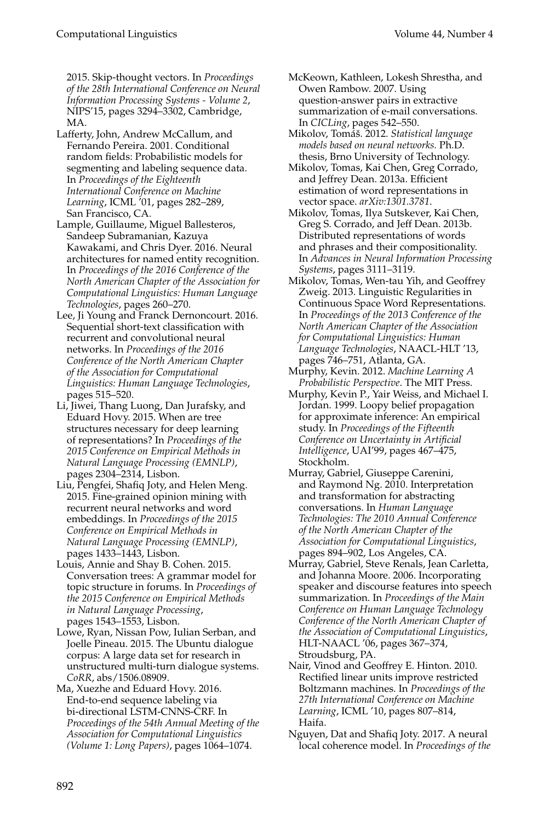2015. Skip-thought vectors. In *Proceedings of the 28th International Conference on Neural Information Processing Systems - Volume 2*, NIPS'15, pages 3294–3302, Cambridge, MA.

- Lafferty, John, Andrew McCallum, and Fernando Pereira. 2001. Conditional random fields: Probabilistic models for segmenting and labeling sequence data. In *Proceedings of the Eighteenth International Conference on Machine Learning*, ICML '01, pages 282–289, San Francisco, CA.
- Lample, Guillaume, Miguel Ballesteros, Sandeep Subramanian, Kazuya Kawakami, and Chris Dyer. 2016. Neural architectures for named entity recognition. In *Proceedings of the 2016 Conference of the North American Chapter of the Association for Computational Linguistics: Human Language Technologies*, pages 260–270.
- Lee, Ji Young and Franck Dernoncourt. 2016. Sequential short-text classification with recurrent and convolutional neural networks. In *Proceedings of the 2016 Conference of the North American Chapter of the Association for Computational Linguistics: Human Language Technologies*, pages 515–520.
- Li, Jiwei, Thang Luong, Dan Jurafsky, and Eduard Hovy. 2015. When are tree structures necessary for deep learning of representations? In *Proceedings of the 2015 Conference on Empirical Methods in Natural Language Processing (EMNLP)*, pages 2304–2314, Lisbon.
- Liu, Pengfei, Shafiq Joty, and Helen Meng. 2015. Fine-grained opinion mining with recurrent neural networks and word embeddings. In *Proceedings of the 2015 Conference on Empirical Methods in Natural Language Processing (EMNLP)*, pages 1433–1443, Lisbon.
- Louis, Annie and Shay B. Cohen. 2015. Conversation trees: A grammar model for topic structure in forums. In *Proceedings of the 2015 Conference on Empirical Methods in Natural Language Processing*, pages 1543–1553, Lisbon.
- Lowe, Ryan, Nissan Pow, Iulian Serban, and Joelle Pineau. 2015. The Ubuntu dialogue corpus: A large data set for research in unstructured multi-turn dialogue systems. *CoRR*, abs/1506.08909.
- Ma, Xuezhe and Eduard Hovy. 2016. End-to-end sequence labeling via bi-directional LSTM-CNNS-CRF. In *Proceedings of the 54th Annual Meeting of the Association for Computational Linguistics (Volume 1: Long Papers)*, pages 1064–1074.
- McKeown, Kathleen, Lokesh Shrestha, and Owen Rambow. 2007. Using question-answer pairs in extractive summarization of e-mail conversations. In *CICLing*, pages 542–550.
- Mikolov, Tomáš. 2012. *Statistical language models based on neural networks.* Ph.D. thesis, Brno University of Technology.
- Mikolov, Tomas, Kai Chen, Greg Corrado, and Jeffrey Dean. 2013a. Efficient estimation of word representations in vector space. *arXiv:1301.3781*.
- Mikolov, Tomas, Ilya Sutskever, Kai Chen, Greg S. Corrado, and Jeff Dean. 2013b. Distributed representations of words and phrases and their compositionality. In *Advances in Neural Information Processing Systems*, pages 3111–3119.
- Mikolov, Tomas, Wen-tau Yih, and Geoffrey Zweig. 2013. Linguistic Regularities in Continuous Space Word Representations. In *Proceedings of the 2013 Conference of the North American Chapter of the Association for Computational Linguistics: Human Language Technologies*, NAACL-HLT '13, pages 746–751, Atlanta, GA.
- Murphy, Kevin. 2012. *Machine Learning A Probabilistic Perspective*. The MIT Press.
- Murphy, Kevin P., Yair Weiss, and Michael I. Jordan. 1999. Loopy belief propagation for approximate inference: An empirical study. In *Proceedings of the Fifteenth Conference on Uncertainty in Artificial Intelligence*, UAI'99, pages 467–475, Stockholm.
- Murray, Gabriel, Giuseppe Carenini, and Raymond Ng. 2010. Interpretation and transformation for abstracting conversations. In *Human Language Technologies: The 2010 Annual Conference of the North American Chapter of the Association for Computational Linguistics*, pages 894–902, Los Angeles, CA.
- Murray, Gabriel, Steve Renals, Jean Carletta, and Johanna Moore. 2006. Incorporating speaker and discourse features into speech summarization. In *Proceedings of the Main Conference on Human Language Technology Conference of the North American Chapter of the Association of Computational Linguistics*, HLT-NAACL '06, pages 367–374, Stroudsburg, PA.
- Nair, Vinod and Geoffrey E. Hinton. 2010. Rectified linear units improve restricted Boltzmann machines. In *Proceedings of the 27th International Conference on Machine Learning*, ICML '10, pages 807–814, Haifa.
- Nguyen, Dat and Shafiq Joty. 2017. A neural local coherence model. In *Proceedings of the*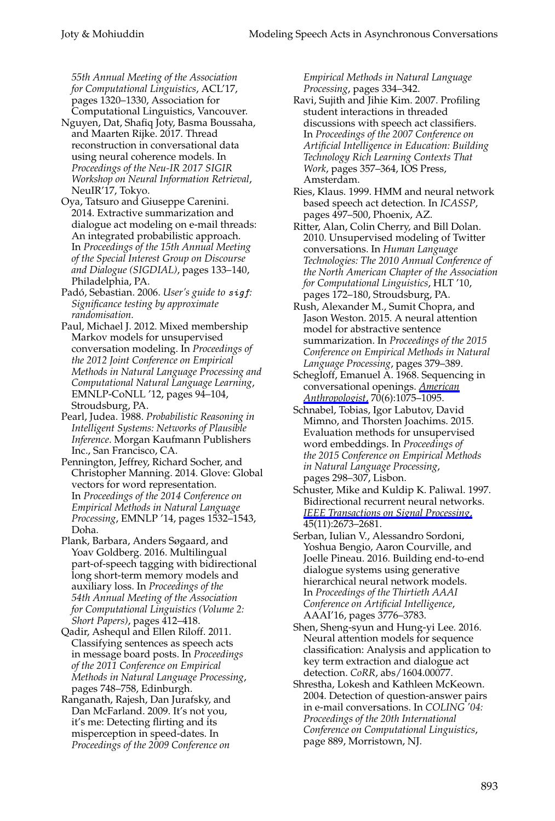*55th Annual Meeting of the Association for Computational Linguistics*, ACL'17, pages 1320–1330, Association for Computational Linguistics, Vancouver.

- Nguyen, Dat, Shafiq Joty, Basma Boussaha, and Maarten Rijke. 2017. Thread reconstruction in conversational data using neural coherence models. In *Proceedings of the Neu-IR 2017 SIGIR Workshop on Neural Information Retrieval*, NeuIR'17, Tokyo.
- Oya, Tatsuro and Giuseppe Carenini. 2014. Extractive summarization and dialogue act modeling on e-mail threads: An integrated probabilistic approach. In *Proceedings of the 15th Annual Meeting of the Special Interest Group on Discourse and Dialogue (SIGDIAL)*, pages 133–140, Philadelphia, PA.
- Padó, Sebastian. 2006. *User's guide to* sigf*: Significance testing by approximate randomisation.*
- Paul, Michael J. 2012. Mixed membership Markov models for unsupervised conversation modeling. In *Proceedings of the 2012 Joint Conference on Empirical Methods in Natural Language Processing and Computational Natural Language Learning*, EMNLP-CoNLL '12, pages 94–104, Stroudsburg, PA.
- Pearl, Judea. 1988. *Probabilistic Reasoning in Intelligent Systems: Networks of Plausible Inference*. Morgan Kaufmann Publishers Inc., San Francisco, CA.
- Pennington, Jeffrey, Richard Socher, and Christopher Manning. 2014. Glove: Global vectors for word representation. In *Proceedings of the 2014 Conference on Empirical Methods in Natural Language Processing*, EMNLP '14, pages 1532–1543, Doha.
- Plank, Barbara, Anders Søgaard, and Yoav Goldberg. 2016. Multilingual part-of-speech tagging with bidirectional long short-term memory models and auxiliary loss. In *Proceedings of the 54th Annual Meeting of the Association for Computational Linguistics (Volume 2: Short Papers)*, pages 412–418.
- Qadir, Ashequl and Ellen Riloff. 2011. Classifying sentences as speech acts in message board posts. In *Proceedings of the 2011 Conference on Empirical Methods in Natural Language Processing*, pages 748–758, Edinburgh.
- Ranganath, Rajesh, Dan Jurafsky, and Dan McFarland. 2009. It's not you, it's me: Detecting flirting and its misperception in speed-dates. In *Proceedings of the 2009 Conference on*

*Empirical Methods in Natural Language Processing*, pages 334–342.

- Ravi, Sujith and Jihie Kim. 2007. Profiling student interactions in threaded discussions with speech act classifiers. In *Proceedings of the 2007 Conference on Artificial Intelligence in Education: Building Technology Rich Learning Contexts That Work*, pages 357–364, IOS Press, Amsterdam.
- Ries, Klaus. 1999. HMM and neural network based speech act detection. In *ICASSP*, pages 497–500, Phoenix, AZ.
- Ritter, Alan, Colin Cherry, and Bill Dolan. 2010. Unsupervised modeling of Twitter conversations. In *Human Language Technologies: The 2010 Annual Conference of the North American Chapter of the Association for Computational Linguistics*, HLT '10, pages 172–180, Stroudsburg, PA.
- Rush, Alexander M., Sumit Chopra, and Jason Weston. 2015. A neural attention model for abstractive sentence summarization. In *Proceedings of the 2015 Conference on Empirical Methods in Natural Language Processing*, pages 379–389.
- Schegloff, Emanuel A. 1968. Sequencing in conversational openings. *[American](https://www.mitpressjournals.org/action/showLinks?doi=10.1162%2Fcoli_a_00339&crossref=10.1525%2Faa.1968.70.6.02a00030&citationId=p_69) [Anthropologist](https://www.mitpressjournals.org/action/showLinks?doi=10.1162%2Fcoli_a_00339&crossref=10.1525%2Faa.1968.70.6.02a00030&citationId=p_69)*, 70(6):1075–1095.
- Schnabel, Tobias, Igor Labutov, David Mimno, and Thorsten Joachims. 2015. Evaluation methods for unsupervised word embeddings. In *Proceedings of the 2015 Conference on Empirical Methods in Natural Language Processing*, pages 298–307, Lisbon.
- Schuster, Mike and Kuldip K. Paliwal. 1997. Bidirectional recurrent neural networks. *[IEEE Transactions on Signal Processing](https://www.mitpressjournals.org/action/showLinks?doi=10.1162%2Fcoli_a_00339&crossref=10.1109%2F78.650093&citationId=p_71)*, 45(11):2673–2681.
- Serban, Iulian V., Alessandro Sordoni, Yoshua Bengio, Aaron Courville, and Joelle Pineau. 2016. Building end-to-end dialogue systems using generative hierarchical neural network models. In *Proceedings of the Thirtieth AAAI Conference on Artificial Intelligence*, AAAI'16, pages 3776–3783.
- Shen, Sheng-syun and Hung-yi Lee. 2016. Neural attention models for sequence classification: Analysis and application to key term extraction and dialogue act detection. *CoRR*, abs/1604.00077.
- Shrestha, Lokesh and Kathleen McKeown. 2004. Detection of question-answer pairs in e-mail conversations. In *COLING '04: Proceedings of the 20th International Conference on Computational Linguistics*, page 889, Morristown, NJ.